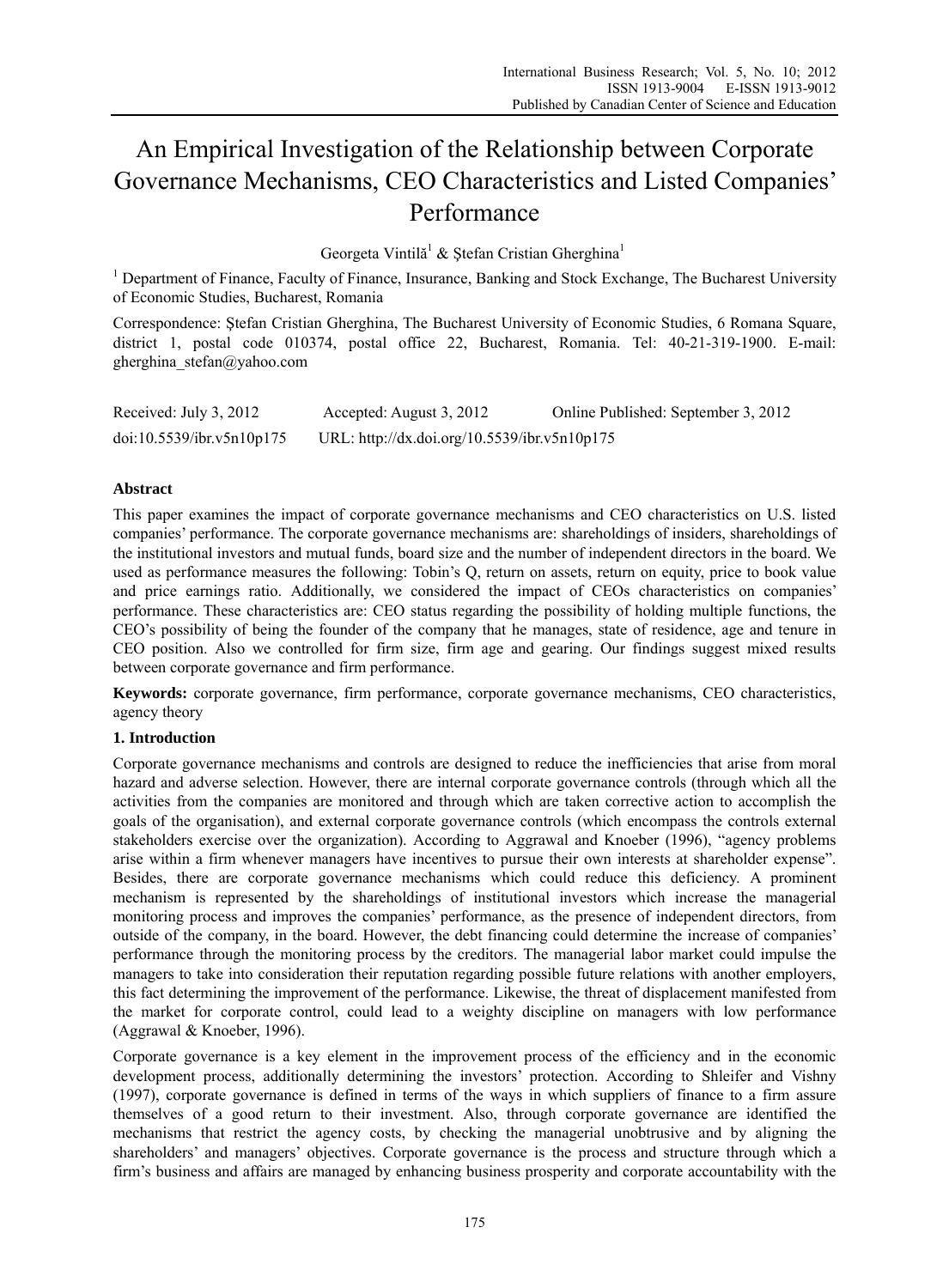# An Empirical Investigation of the Relationship between Corporate Governance Mechanisms, CEO Characteristics and Listed Companies' Performance

Georgeta Vintilă<sup>1</sup> & Ștefan Cristian Gherghina<sup>1</sup>

<sup>1</sup> Department of Finance, Faculty of Finance, Insurance, Banking and Stock Exchange, The Bucharest University of Economic Studies, Bucharest, Romania

Correspondence: Ştefan Cristian Gherghina, The Bucharest University of Economic Studies, 6 Romana Square, district 1, postal code 010374, postal office 22, Bucharest, Romania. Tel: 40-21-319-1900. E-mail: gherghina\_stefan@yahoo.com

| Received: July 3, 2012    | Accepted: August 3, 2012                     | Online Published: September 3, 2012 |
|---------------------------|----------------------------------------------|-------------------------------------|
| doi:10.5539/ibr.v5n10p175 | URL: http://dx.doi.org/10.5539/ibr.v5n10p175 |                                     |

## **Abstract**

This paper examines the impact of corporate governance mechanisms and CEO characteristics on U.S. listed companies' performance. The corporate governance mechanisms are: shareholdings of insiders, shareholdings of the institutional investors and mutual funds, board size and the number of independent directors in the board. We used as performance measures the following: Tobin's Q, return on assets, return on equity, price to book value and price earnings ratio. Additionally, we considered the impact of CEOs characteristics on companies' performance. These characteristics are: CEO status regarding the possibility of holding multiple functions, the CEO's possibility of being the founder of the company that he manages, state of residence, age and tenure in CEO position. Also we controlled for firm size, firm age and gearing. Our findings suggest mixed results between corporate governance and firm performance.

**Keywords:** corporate governance, firm performance, corporate governance mechanisms, CEO characteristics, agency theory

## **1. Introduction**

Corporate governance mechanisms and controls are designed to reduce the inefficiencies that arise from moral hazard and adverse selection. However, there are internal corporate governance controls (through which all the activities from the companies are monitored and through which are taken corrective action to accomplish the goals of the organisation), and external corporate governance controls (which encompass the controls external stakeholders exercise over the organization). According to Aggrawal and Knoeber (1996), "agency problems arise within a firm whenever managers have incentives to pursue their own interests at shareholder expense". Besides, there are corporate governance mechanisms which could reduce this deficiency. A prominent mechanism is represented by the shareholdings of institutional investors which increase the managerial monitoring process and improves the companies' performance, as the presence of independent directors, from outside of the company, in the board. However, the debt financing could determine the increase of companies' performance through the monitoring process by the creditors. The managerial labor market could impulse the managers to take into consideration their reputation regarding possible future relations with another employers, this fact determining the improvement of the performance. Likewise, the threat of displacement manifested from the market for corporate control, could lead to a weighty discipline on managers with low performance (Aggrawal & Knoeber, 1996).

Corporate governance is a key element in the improvement process of the efficiency and in the economic development process, additionally determining the investors' protection. According to Shleifer and Vishny (1997), corporate governance is defined in terms of the ways in which suppliers of finance to a firm assure themselves of a good return to their investment. Also, through corporate governance are identified the mechanisms that restrict the agency costs, by checking the managerial unobtrusive and by aligning the shareholders' and managers' objectives. Corporate governance is the process and structure through which a firm's business and affairs are managed by enhancing business prosperity and corporate accountability with the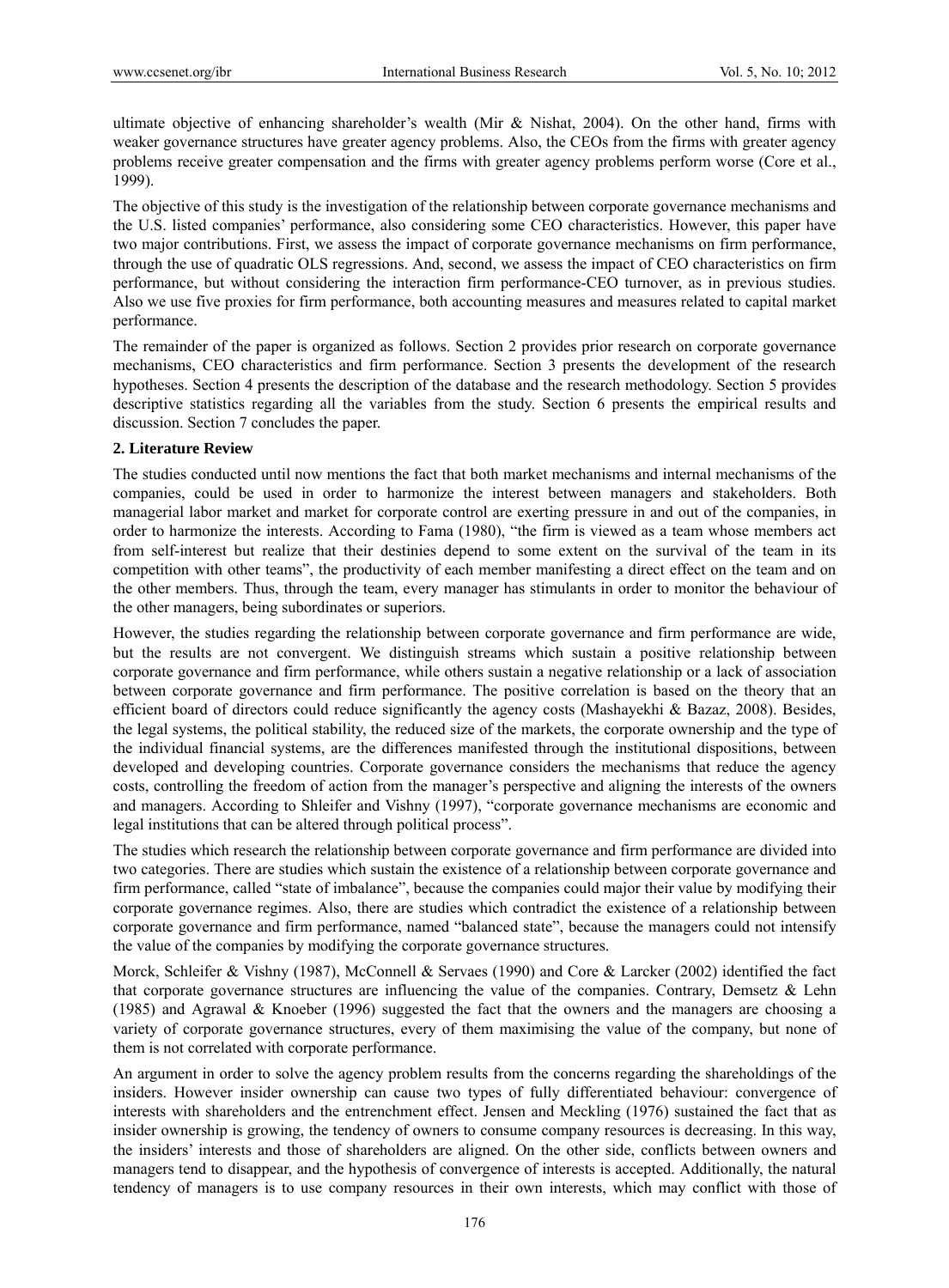ultimate objective of enhancing shareholder's wealth (Mir & Nishat, 2004). On the other hand, firms with weaker governance structures have greater agency problems. Also, the CEOs from the firms with greater agency problems receive greater compensation and the firms with greater agency problems perform worse (Core et al., 1999).

The objective of this study is the investigation of the relationship between corporate governance mechanisms and the U.S. listed companies' performance, also considering some CEO characteristics. However, this paper have two major contributions. First, we assess the impact of corporate governance mechanisms on firm performance, through the use of quadratic OLS regressions. And, second, we assess the impact of CEO characteristics on firm performance, but without considering the interaction firm performance-CEO turnover, as in previous studies. Also we use five proxies for firm performance, both accounting measures and measures related to capital market performance.

The remainder of the paper is organized as follows. Section 2 provides prior research on corporate governance mechanisms, CEO characteristics and firm performance. Section 3 presents the development of the research hypotheses. Section 4 presents the description of the database and the research methodology. Section 5 provides descriptive statistics regarding all the variables from the study. Section 6 presents the empirical results and discussion. Section 7 concludes the paper.

#### **2. Literature Review**

The studies conducted until now mentions the fact that both market mechanisms and internal mechanisms of the companies, could be used in order to harmonize the interest between managers and stakeholders. Both managerial labor market and market for corporate control are exerting pressure in and out of the companies, in order to harmonize the interests. According to Fama (1980), "the firm is viewed as a team whose members act from self-interest but realize that their destinies depend to some extent on the survival of the team in its competition with other teams", the productivity of each member manifesting a direct effect on the team and on the other members. Thus, through the team, every manager has stimulants in order to monitor the behaviour of the other managers, being subordinates or superiors.

However, the studies regarding the relationship between corporate governance and firm performance are wide, but the results are not convergent. We distinguish streams which sustain a positive relationship between corporate governance and firm performance, while others sustain a negative relationship or a lack of association between corporate governance and firm performance. The positive correlation is based on the theory that an efficient board of directors could reduce significantly the agency costs (Mashayekhi & Bazaz, 2008). Besides, the legal systems, the political stability, the reduced size of the markets, the corporate ownership and the type of the individual financial systems, are the differences manifested through the institutional dispositions, between developed and developing countries. Corporate governance considers the mechanisms that reduce the agency costs, controlling the freedom of action from the manager's perspective and aligning the interests of the owners and managers. According to Shleifer and Vishny (1997), "corporate governance mechanisms are economic and legal institutions that can be altered through political process".

The studies which research the relationship between corporate governance and firm performance are divided into two categories. There are studies which sustain the existence of a relationship between corporate governance and firm performance, called "state of imbalance", because the companies could major their value by modifying their corporate governance regimes. Also, there are studies which contradict the existence of a relationship between corporate governance and firm performance, named "balanced state", because the managers could not intensify the value of the companies by modifying the corporate governance structures.

Morck, Schleifer & Vishny (1987), McConnell & Servaes (1990) and Core & Larcker (2002) identified the fact that corporate governance structures are influencing the value of the companies. Contrary, Demsetz & Lehn (1985) and Agrawal & Knoeber (1996) suggested the fact that the owners and the managers are choosing a variety of corporate governance structures, every of them maximising the value of the company, but none of them is not correlated with corporate performance.

An argument in order to solve the agency problem results from the concerns regarding the shareholdings of the insiders. However insider ownership can cause two types of fully differentiated behaviour: convergence of interests with shareholders and the entrenchment effect. Jensen and Meckling (1976) sustained the fact that as insider ownership is growing, the tendency of owners to consume company resources is decreasing. In this way, the insiders' interests and those of shareholders are aligned. On the other side, conflicts between owners and managers tend to disappear, and the hypothesis of convergence of interests is accepted. Additionally, the natural tendency of managers is to use company resources in their own interests, which may conflict with those of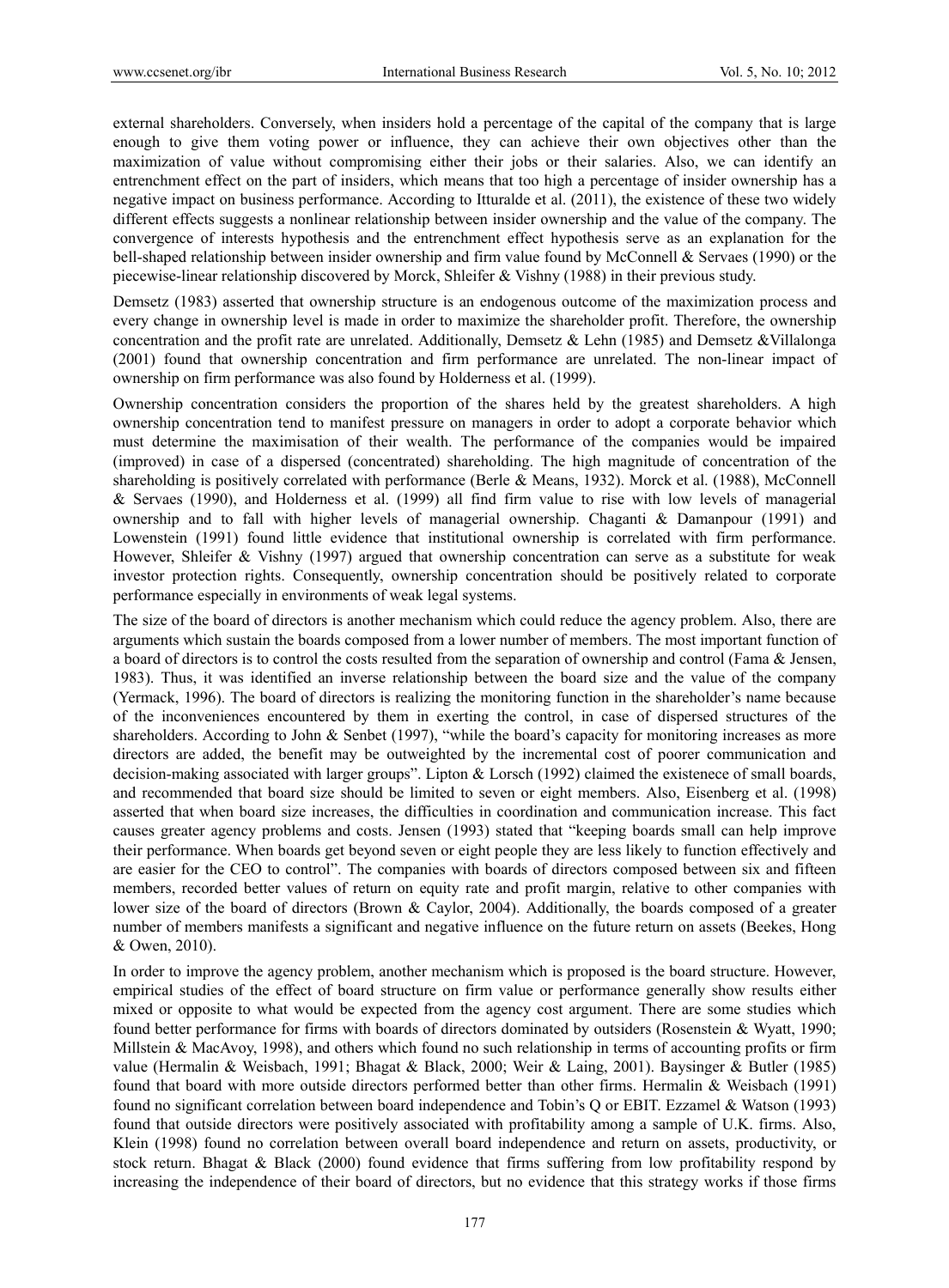external shareholders. Conversely, when insiders hold a percentage of the capital of the company that is large enough to give them voting power or influence, they can achieve their own objectives other than the maximization of value without compromising either their jobs or their salaries. Also, we can identify an entrenchment effect on the part of insiders, which means that too high a percentage of insider ownership has a negative impact on business performance. According to Itturalde et al. (2011), the existence of these two widely different effects suggests a nonlinear relationship between insider ownership and the value of the company. The convergence of interests hypothesis and the entrenchment effect hypothesis serve as an explanation for the bell-shaped relationship between insider ownership and firm value found by McConnell & Servaes (1990) or the piecewise-linear relationship discovered by Morck, Shleifer & Vishny (1988) in their previous study.

Demsetz (1983) asserted that ownership structure is an endogenous outcome of the maximization process and every change in ownership level is made in order to maximize the shareholder profit. Therefore, the ownership concentration and the profit rate are unrelated. Additionally, Demsetz & Lehn (1985) and Demsetz &Villalonga (2001) found that ownership concentration and firm performance are unrelated. The non-linear impact of ownership on firm performance was also found by Holderness et al. (1999).

Ownership concentration considers the proportion of the shares held by the greatest shareholders. A high ownership concentration tend to manifest pressure on managers in order to adopt a corporate behavior which must determine the maximisation of their wealth. The performance of the companies would be impaired (improved) in case of a dispersed (concentrated) shareholding. The high magnitude of concentration of the shareholding is positively correlated with performance (Berle & Means, 1932). Morck et al. (1988), McConnell & Servaes (1990), and Holderness et al. (1999) all find firm value to rise with low levels of managerial ownership and to fall with higher levels of managerial ownership. Chaganti & Damanpour (1991) and Lowenstein (1991) found little evidence that institutional ownership is correlated with firm performance. However, Shleifer & Vishny (1997) argued that ownership concentration can serve as a substitute for weak investor protection rights. Consequently, ownership concentration should be positively related to corporate performance especially in environments of weak legal systems.

The size of the board of directors is another mechanism which could reduce the agency problem. Also, there are arguments which sustain the boards composed from a lower number of members. The most important function of a board of directors is to control the costs resulted from the separation of ownership and control (Fama & Jensen, 1983). Thus, it was identified an inverse relationship between the board size and the value of the company (Yermack, 1996). The board of directors is realizing the monitoring function in the shareholder's name because of the inconveniences encountered by them in exerting the control, in case of dispersed structures of the shareholders. According to John & Senbet (1997), "while the board's capacity for monitoring increases as more directors are added, the benefit may be outweighted by the incremental cost of poorer communication and decision-making associated with larger groups". Lipton & Lorsch (1992) claimed the existenece of small boards, and recommended that board size should be limited to seven or eight members. Also, Eisenberg et al. (1998) asserted that when board size increases, the difficulties in coordination and communication increase. This fact causes greater agency problems and costs. Jensen (1993) stated that "keeping boards small can help improve their performance. When boards get beyond seven or eight people they are less likely to function effectively and are easier for the CEO to control". The companies with boards of directors composed between six and fifteen members, recorded better values of return on equity rate and profit margin, relative to other companies with lower size of the board of directors (Brown & Caylor, 2004). Additionally, the boards composed of a greater number of members manifests a significant and negative influence on the future return on assets (Beekes, Hong & Owen, 2010).

In order to improve the agency problem, another mechanism which is proposed is the board structure. However, empirical studies of the effect of board structure on firm value or performance generally show results either mixed or opposite to what would be expected from the agency cost argument. There are some studies which found better performance for firms with boards of directors dominated by outsiders (Rosenstein & Wyatt, 1990; Millstein & MacAvoy, 1998), and others which found no such relationship in terms of accounting profits or firm value (Hermalin & Weisbach, 1991; Bhagat & Black, 2000; Weir & Laing, 2001). Baysinger & Butler (1985) found that board with more outside directors performed better than other firms. Hermalin & Weisbach (1991) found no significant correlation between board independence and Tobin's Q or EBIT. Ezzamel & Watson (1993) found that outside directors were positively associated with profitability among a sample of U.K. firms. Also, Klein (1998) found no correlation between overall board independence and return on assets, productivity, or stock return. Bhagat & Black (2000) found evidence that firms suffering from low profitability respond by increasing the independence of their board of directors, but no evidence that this strategy works if those firms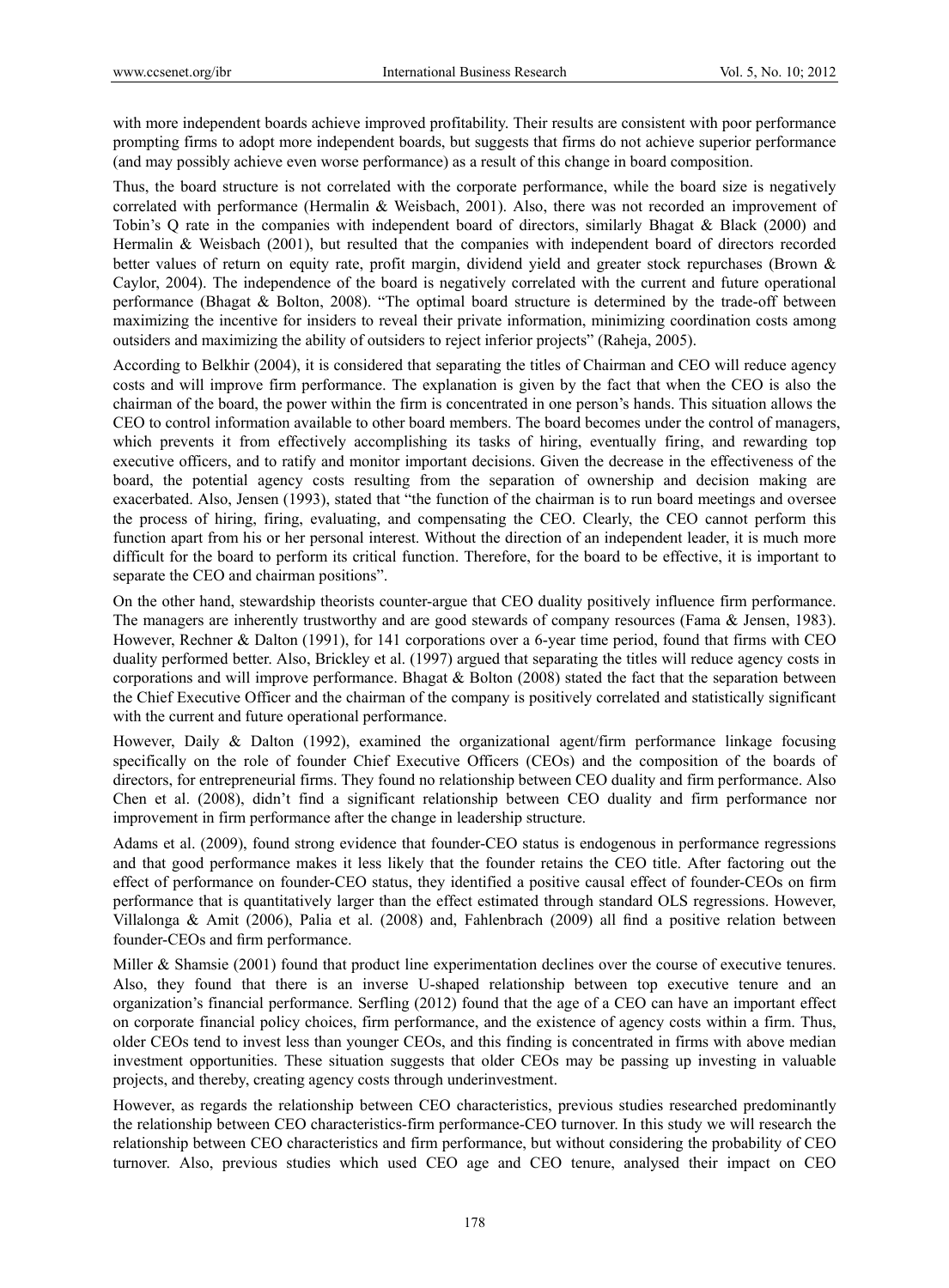with more independent boards achieve improved profitability. Their results are consistent with poor performance prompting firms to adopt more independent boards, but suggests that firms do not achieve superior performance (and may possibly achieve even worse performance) as a result of this change in board composition.

Thus, the board structure is not correlated with the corporate performance, while the board size is negatively correlated with performance (Hermalin & Weisbach, 2001). Also, there was not recorded an improvement of Tobin's Q rate in the companies with independent board of directors, similarly Bhagat & Black (2000) and Hermalin & Weisbach (2001), but resulted that the companies with independent board of directors recorded better values of return on equity rate, profit margin, dividend yield and greater stock repurchases (Brown & Caylor, 2004). The independence of the board is negatively correlated with the current and future operational performance (Bhagat & Bolton, 2008). "The optimal board structure is determined by the trade-off between maximizing the incentive for insiders to reveal their private information, minimizing coordination costs among outsiders and maximizing the ability of outsiders to reject inferior projects" (Raheja, 2005).

According to Belkhir (2004), it is considered that separating the titles of Chairman and CEO will reduce agency costs and will improve firm performance. The explanation is given by the fact that when the CEO is also the chairman of the board, the power within the firm is concentrated in one person's hands. This situation allows the CEO to control information available to other board members. The board becomes under the control of managers, which prevents it from effectively accomplishing its tasks of hiring, eventually firing, and rewarding top executive officers, and to ratify and monitor important decisions. Given the decrease in the effectiveness of the board, the potential agency costs resulting from the separation of ownership and decision making are exacerbated. Also, Jensen (1993), stated that "the function of the chairman is to run board meetings and oversee the process of hiring, firing, evaluating, and compensating the CEO. Clearly, the CEO cannot perform this function apart from his or her personal interest. Without the direction of an independent leader, it is much more difficult for the board to perform its critical function. Therefore, for the board to be effective, it is important to separate the CEO and chairman positions".

On the other hand, stewardship theorists counter-argue that CEO duality positively influence firm performance. The managers are inherently trustworthy and are good stewards of company resources (Fama & Jensen, 1983). However, Rechner & Dalton (1991), for 141 corporations over a 6-year time period, found that firms with CEO duality performed better. Also, Brickley et al. (1997) argued that separating the titles will reduce agency costs in corporations and will improve performance. Bhagat & Bolton (2008) stated the fact that the separation between the Chief Executive Officer and the chairman of the company is positively correlated and statistically significant with the current and future operational performance.

However, Daily & Dalton (1992), examined the organizational agent/firm performance linkage focusing specifically on the role of founder Chief Executive Officers (CEOs) and the composition of the boards of directors, for entrepreneurial firms. They found no relationship between CEO duality and firm performance. Also Chen et al. (2008), didn't find a significant relationship between CEO duality and firm performance nor improvement in firm performance after the change in leadership structure.

Adams et al. (2009), found strong evidence that founder-CEO status is endogenous in performance regressions and that good performance makes it less likely that the founder retains the CEO title. After factoring out the effect of performance on founder-CEO status, they identified a positive causal effect of founder-CEOs on firm performance that is quantitatively larger than the effect estimated through standard OLS regressions. However, Villalonga & Amit (2006), Palia et al. (2008) and, Fahlenbrach (2009) all find a positive relation between founder-CEOs and firm performance.

Miller & Shamsie (2001) found that product line experimentation declines over the course of executive tenures. Also, they found that there is an inverse U-shaped relationship between top executive tenure and an organization's financial performance. Serfling (2012) found that the age of a CEO can have an important effect on corporate financial policy choices, firm performance, and the existence of agency costs within a firm. Thus, older CEOs tend to invest less than younger CEOs, and this finding is concentrated in firms with above median investment opportunities. These situation suggests that older CEOs may be passing up investing in valuable projects, and thereby, creating agency costs through underinvestment.

However, as regards the relationship between CEO characteristics, previous studies researched predominantly the relationship between CEO characteristics-firm performance-CEO turnover. In this study we will research the relationship between CEO characteristics and firm performance, but without considering the probability of CEO turnover. Also, previous studies which used CEO age and CEO tenure, analysed their impact on CEO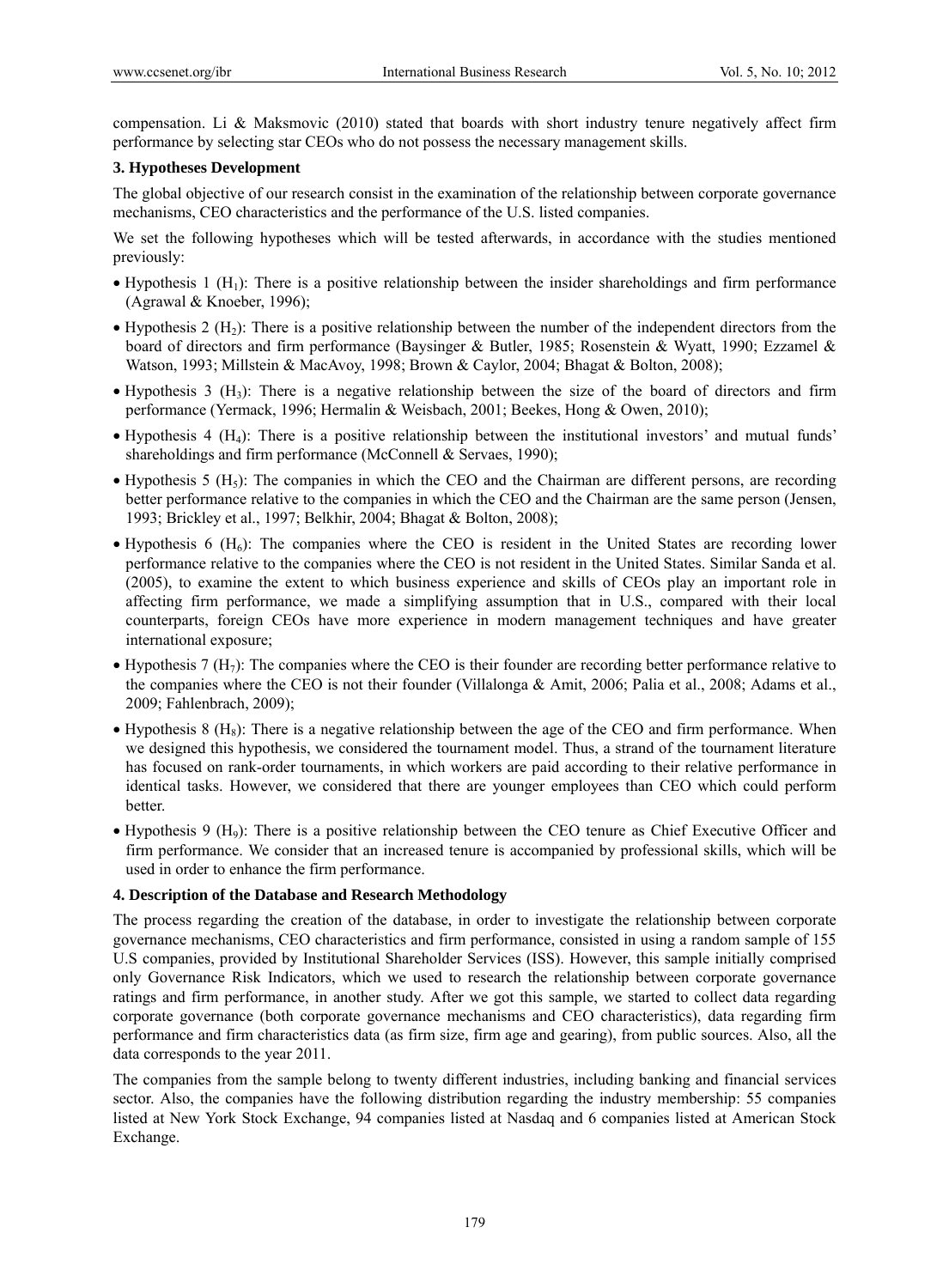compensation. Li & Maksmovic (2010) stated that boards with short industry tenure negatively affect firm performance by selecting star CEOs who do not possess the necessary management skills.

## **3. Hypotheses Development**

The global objective of our research consist in the examination of the relationship between corporate governance mechanisms, CEO characteristics and the performance of the U.S. listed companies.

We set the following hypotheses which will be tested afterwards, in accordance with the studies mentioned previously:

- $\bullet$  Hypothesis 1 (H<sub>1</sub>): There is a positive relationship between the insider shareholdings and firm performance (Agrawal & Knoeber, 1996);
- $\bullet$  Hypothesis 2 (H<sub>2</sub>): There is a positive relationship between the number of the independent directors from the board of directors and firm performance (Baysinger & Butler, 1985; Rosenstein & Wyatt, 1990; Ezzamel & Watson, 1993; Millstein & MacAvoy, 1998; Brown & Caylor, 2004; Bhagat & Bolton, 2008);
- $\bullet$  Hypothesis 3 (H<sub>3</sub>): There is a negative relationship between the size of the board of directors and firm performance (Yermack, 1996; Hermalin & Weisbach, 2001; Beekes, Hong & Owen, 2010);
- $\bullet$  Hypothesis 4 (H<sub>4</sub>): There is a positive relationship between the institutional investors' and mutual funds' shareholdings and firm performance (McConnell & Servaes, 1990);
- $\bullet$  Hypothesis 5 (H<sub>5</sub>): The companies in which the CEO and the Chairman are different persons, are recording better performance relative to the companies in which the CEO and the Chairman are the same person (Jensen, 1993; Brickley et al., 1997; Belkhir, 2004; Bhagat & Bolton, 2008);
- $\bullet$  Hypothesis 6 (H<sub>6</sub>): The companies where the CEO is resident in the United States are recording lower performance relative to the companies where the CEO is not resident in the United States. Similar Sanda et al. (2005), to examine the extent to which business experience and skills of CEOs play an important role in affecting firm performance, we made a simplifying assumption that in U.S., compared with their local counterparts, foreign CEOs have more experience in modern management techniques and have greater international exposure;
- $\bullet$  Hypothesis 7 (H<sub>7</sub>): The companies where the CEO is their founder are recording better performance relative to the companies where the CEO is not their founder (Villalonga & Amit, 2006; Palia et al., 2008; Adams et al., 2009; Fahlenbrach, 2009);
- $\bullet$  Hypothesis 8 (H<sub>8</sub>): There is a negative relationship between the age of the CEO and firm performance. When we designed this hypothesis, we considered the tournament model. Thus, a strand of the tournament literature has focused on rank-order tournaments, in which workers are paid according to their relative performance in identical tasks. However, we considered that there are younger employees than CEO which could perform better.
- Hypothesis 9 (H9): There is a positive relationship between the CEO tenure as Chief Executive Officer and firm performance. We consider that an increased tenure is accompanied by professional skills, which will be used in order to enhance the firm performance.

# **4. Description of the Database and Research Methodology**

The process regarding the creation of the database, in order to investigate the relationship between corporate governance mechanisms, CEO characteristics and firm performance, consisted in using a random sample of 155 U.S companies, provided by Institutional Shareholder Services (ISS). However, this sample initially comprised only Governance Risk Indicators, which we used to research the relationship between corporate governance ratings and firm performance, in another study. After we got this sample, we started to collect data regarding corporate governance (both corporate governance mechanisms and CEO characteristics), data regarding firm performance and firm characteristics data (as firm size, firm age and gearing), from public sources. Also, all the data corresponds to the year 2011.

The companies from the sample belong to twenty different industries, including banking and financial services sector. Also, the companies have the following distribution regarding the industry membership: 55 companies listed at New York Stock Exchange, 94 companies listed at Nasdaq and 6 companies listed at American Stock Exchange.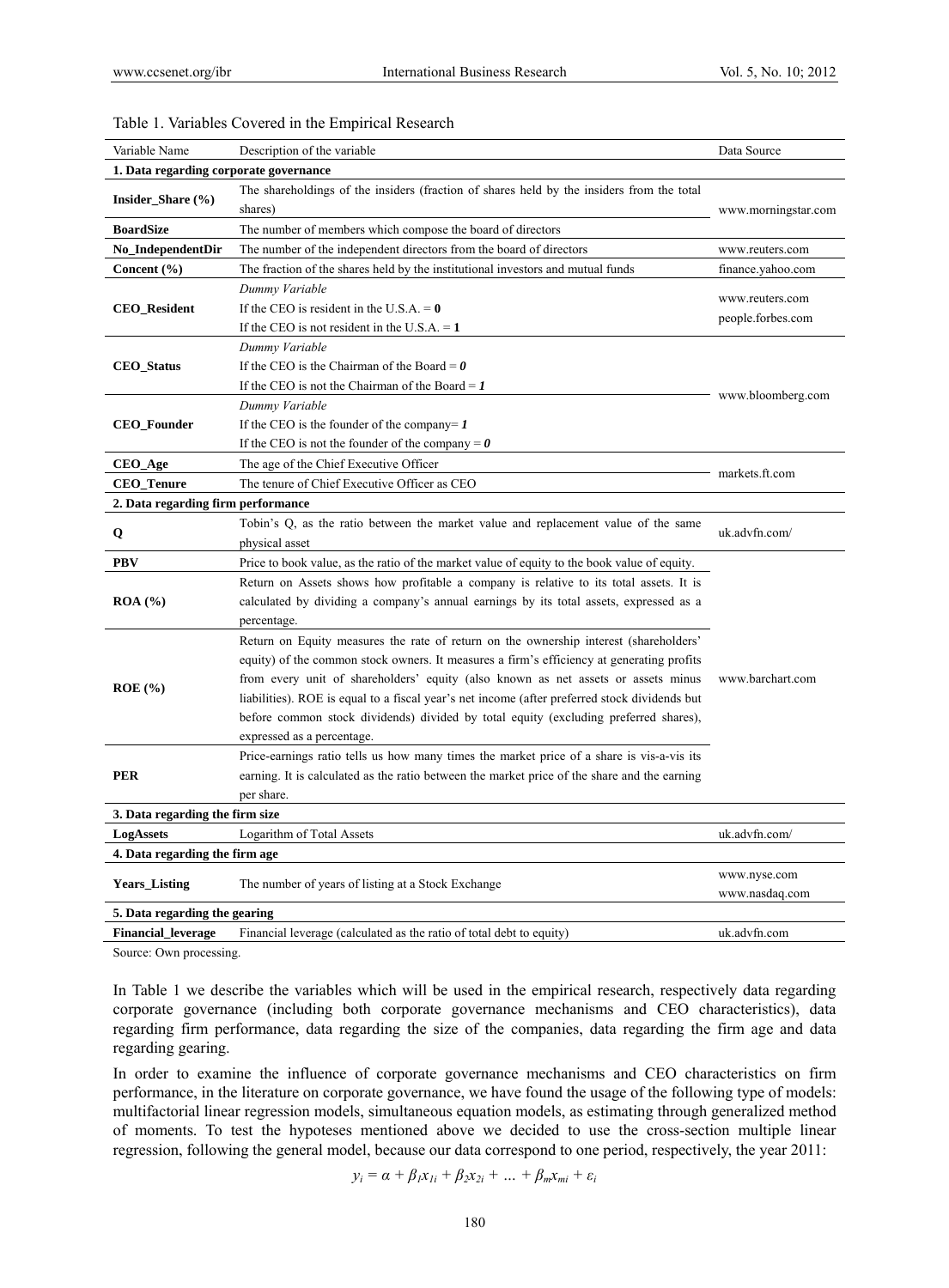| Variable Name                          | Description of the variable                                                                   | Data Source         |  |
|----------------------------------------|-----------------------------------------------------------------------------------------------|---------------------|--|
| 1. Data regarding corporate governance |                                                                                               |                     |  |
| Insider_Share $(\% )$                  | The shareholdings of the insiders (fraction of shares held by the insiders from the total     |                     |  |
|                                        | shares)                                                                                       | www.morningstar.com |  |
| <b>BoardSize</b>                       | The number of members which compose the board of directors                                    |                     |  |
| No_IndependentDir                      | The number of the independent directors from the board of directors                           | www.reuters.com     |  |
| Concent $(\% )$                        | The fraction of the shares held by the institutional investors and mutual funds               | finance.yahoo.com   |  |
|                                        | Dummy Variable                                                                                | www.reuters.com     |  |
| <b>CEO_Resident</b>                    | If the CEO is resident in the U.S.A. $= 0$                                                    | people.forbes.com   |  |
|                                        | If the CEO is not resident in the U.S.A. $= 1$                                                |                     |  |
|                                        | Dummy Variable                                                                                |                     |  |
| <b>CEO_Status</b>                      | If the CEO is the Chairman of the Board = $\theta$                                            |                     |  |
|                                        | If the CEO is not the Chairman of the Board = $I$                                             | www.bloomberg.com   |  |
|                                        | Dummy Variable                                                                                |                     |  |
| <b>CEO_Founder</b>                     | If the CEO is the founder of the company $I$                                                  |                     |  |
|                                        | If the CEO is not the founder of the company = $\theta$                                       |                     |  |
| CEO_Age                                | The age of the Chief Executive Officer                                                        | markets.ft.com      |  |
| <b>CEO_Tenure</b>                      | The tenure of Chief Executive Officer as CEO                                                  |                     |  |
| 2. Data regarding firm performance     |                                                                                               |                     |  |
| Q                                      | Tobin's Q, as the ratio between the market value and replacement value of the same            | uk.advfn.com/       |  |
|                                        | physical asset                                                                                |                     |  |
| <b>PBV</b>                             | Price to book value, as the ratio of the market value of equity to the book value of equity.  |                     |  |
|                                        | Return on Assets shows how profitable a company is relative to its total assets. It is        |                     |  |
| ROA (%)                                | calculated by dividing a company's annual earnings by its total assets, expressed as a        |                     |  |
|                                        | percentage.                                                                                   |                     |  |
|                                        | Return on Equity measures the rate of return on the ownership interest (shareholders'         |                     |  |
|                                        | equity) of the common stock owners. It measures a firm's efficiency at generating profits     |                     |  |
| $ROE (\% )$                            | from every unit of shareholders' equity (also known as net assets or assets minus             | www.barchart.com    |  |
|                                        | liabilities). ROE is equal to a fiscal year's net income (after preferred stock dividends but |                     |  |
|                                        | before common stock dividends) divided by total equity (excluding preferred shares),          |                     |  |
|                                        | expressed as a percentage.                                                                    |                     |  |
|                                        | Price-earnings ratio tells us how many times the market price of a share is vis-a-vis its     |                     |  |
| <b>PER</b>                             | earning. It is calculated as the ratio between the market price of the share and the earning  |                     |  |
|                                        | per share.                                                                                    |                     |  |
| 3. Data regarding the firm size        |                                                                                               |                     |  |
| LogAssets                              | Logarithm of Total Assets                                                                     | uk.advfn.com/       |  |
| 4. Data regarding the firm age         |                                                                                               |                     |  |
| <b>Years_Listing</b>                   | The number of years of listing at a Stock Exchange                                            | www.nyse.com        |  |
|                                        |                                                                                               | www.nasdaq.com      |  |
| 5. Data regarding the gearing          |                                                                                               |                     |  |
| <b>Financial</b> leverage              | Financial leverage (calculated as the ratio of total debt to equity)                          | uk.advfn.com        |  |

#### Table 1. Variables Covered in the Empirical Research

Source: Own processing.

In Table 1 we describe the variables which will be used in the empirical research, respectively data regarding corporate governance (including both corporate governance mechanisms and CEO characteristics), data regarding firm performance, data regarding the size of the companies, data regarding the firm age and data regarding gearing.

In order to examine the influence of corporate governance mechanisms and CEO characteristics on firm performance, in the literature on corporate governance, we have found the usage of the following type of models: multifactorial linear regression models, simultaneous equation models, as estimating through generalized method of moments. To test the hypoteses mentioned above we decided to use the cross-section multiple linear regression, following the general model, because our data correspond to one period, respectively, the year 2011:

$$
y_i = \alpha + \beta_1 x_{1i} + \beta_2 x_{2i} + \dots + \beta_m x_{mi} + \varepsilon_i
$$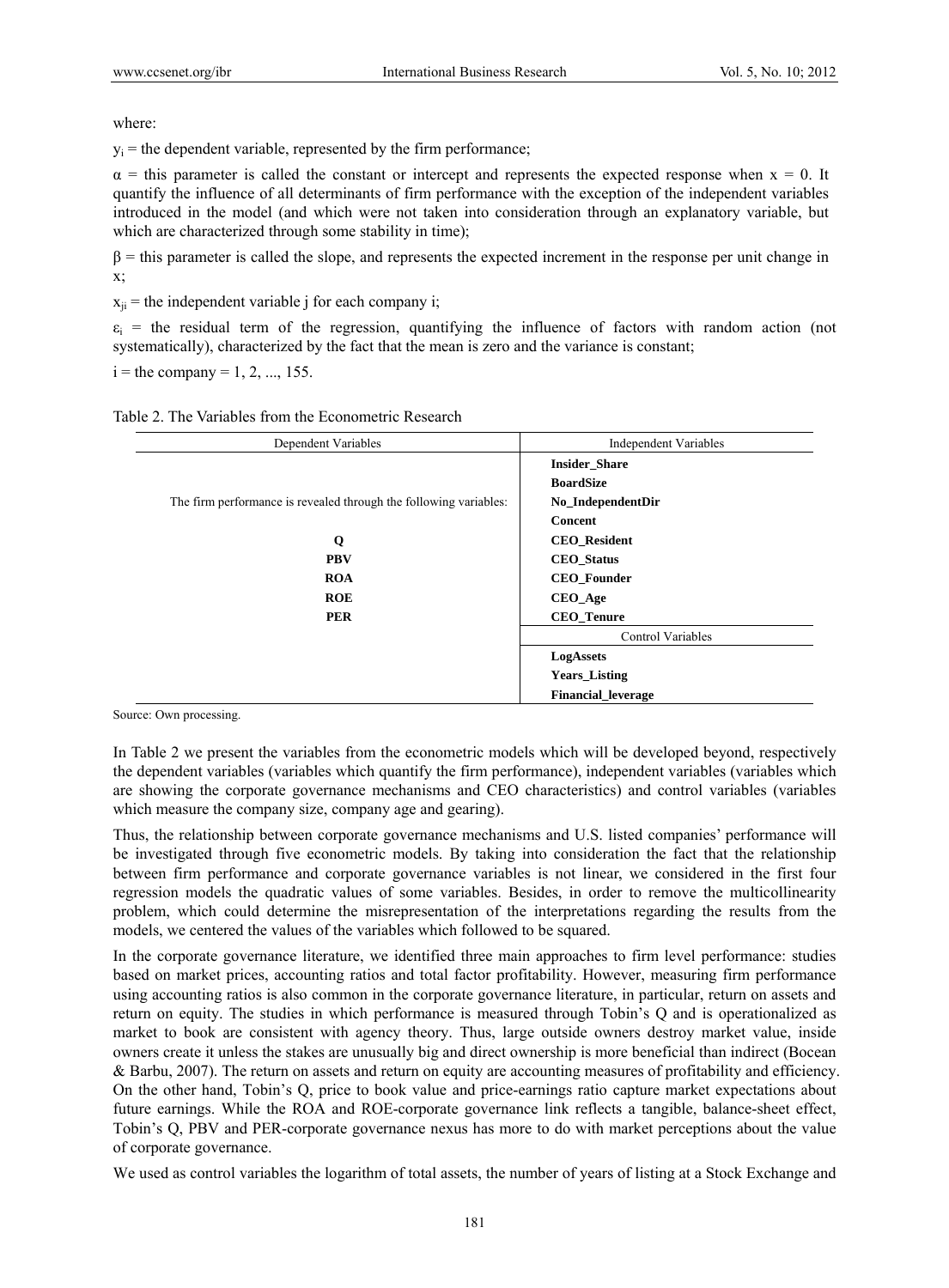where:

 $y_i$  = the dependent variable, represented by the firm performance;

 $\alpha$  = this parameter is called the constant or intercept and represents the expected response when  $x = 0$ . It quantify the influence of all determinants of firm performance with the exception of the independent variables introduced in the model (and which were not taken into consideration through an explanatory variable, but which are characterized through some stability in time);

 $\beta$  = this parameter is called the slope, and represents the expected increment in the response per unit change in x;

 $x_{ii}$  = the independent variable j for each company i;

 $\varepsilon_i$  = the residual term of the regression, quantifying the influence of factors with random action (not systematically), characterized by the fact that the mean is zero and the variance is constant;

 $i =$  the company = 1, 2, ..., 155.

| Dependent Variables                                               | <b>Independent Variables</b>                                             |
|-------------------------------------------------------------------|--------------------------------------------------------------------------|
| The firm performance is revealed through the following variables: | <b>Insider_Share</b><br><b>BoardSize</b><br>No_IndependentDir<br>Concent |
| $\mathbf 0$                                                       | <b>CEO</b> Resident                                                      |
| <b>PBV</b>                                                        | <b>CEO_Status</b>                                                        |
| <b>ROA</b>                                                        | <b>CEO</b> Founder                                                       |
| <b>ROE</b>                                                        | CEO_Age                                                                  |
| <b>PER</b>                                                        | <b>CEO_Tenure</b>                                                        |
|                                                                   | Control Variables                                                        |
|                                                                   | LogAssets                                                                |
|                                                                   | <b>Years_Listing</b>                                                     |
|                                                                   | <b>Financial_leverage</b>                                                |

Table 2. The Variables from the Econometric Research

Source: Own processing.

In Table 2 we present the variables from the econometric models which will be developed beyond, respectively the dependent variables (variables which quantify the firm performance), independent variables (variables which are showing the corporate governance mechanisms and CEO characteristics) and control variables (variables which measure the company size, company age and gearing).

Thus, the relationship between corporate governance mechanisms and U.S. listed companies' performance will be investigated through five econometric models. By taking into consideration the fact that the relationship between firm performance and corporate governance variables is not linear, we considered in the first four regression models the quadratic values of some variables. Besides, in order to remove the multicollinearity problem, which could determine the misrepresentation of the interpretations regarding the results from the models, we centered the values of the variables which followed to be squared.

In the corporate governance literature, we identified three main approaches to firm level performance: studies based on market prices, accounting ratios and total factor profitability. However, measuring firm performance using accounting ratios is also common in the corporate governance literature, in particular, return on assets and return on equity. The studies in which performance is measured through Tobin's Q and is operationalized as market to book are consistent with agency theory. Thus, large outside owners destroy market value, inside owners create it unless the stakes are unusually big and direct ownership is more beneficial than indirect (Bocean & Barbu, 2007). The return on assets and return on equity are accounting measures of profitability and efficiency. On the other hand, Tobin's Q, price to book value and price-earnings ratio capture market expectations about future earnings. While the ROA and ROE-corporate governance link reflects a tangible, balance-sheet effect, Tobin's Q, PBV and PER-corporate governance nexus has more to do with market perceptions about the value of corporate governance.

We used as control variables the logarithm of total assets, the number of years of listing at a Stock Exchange and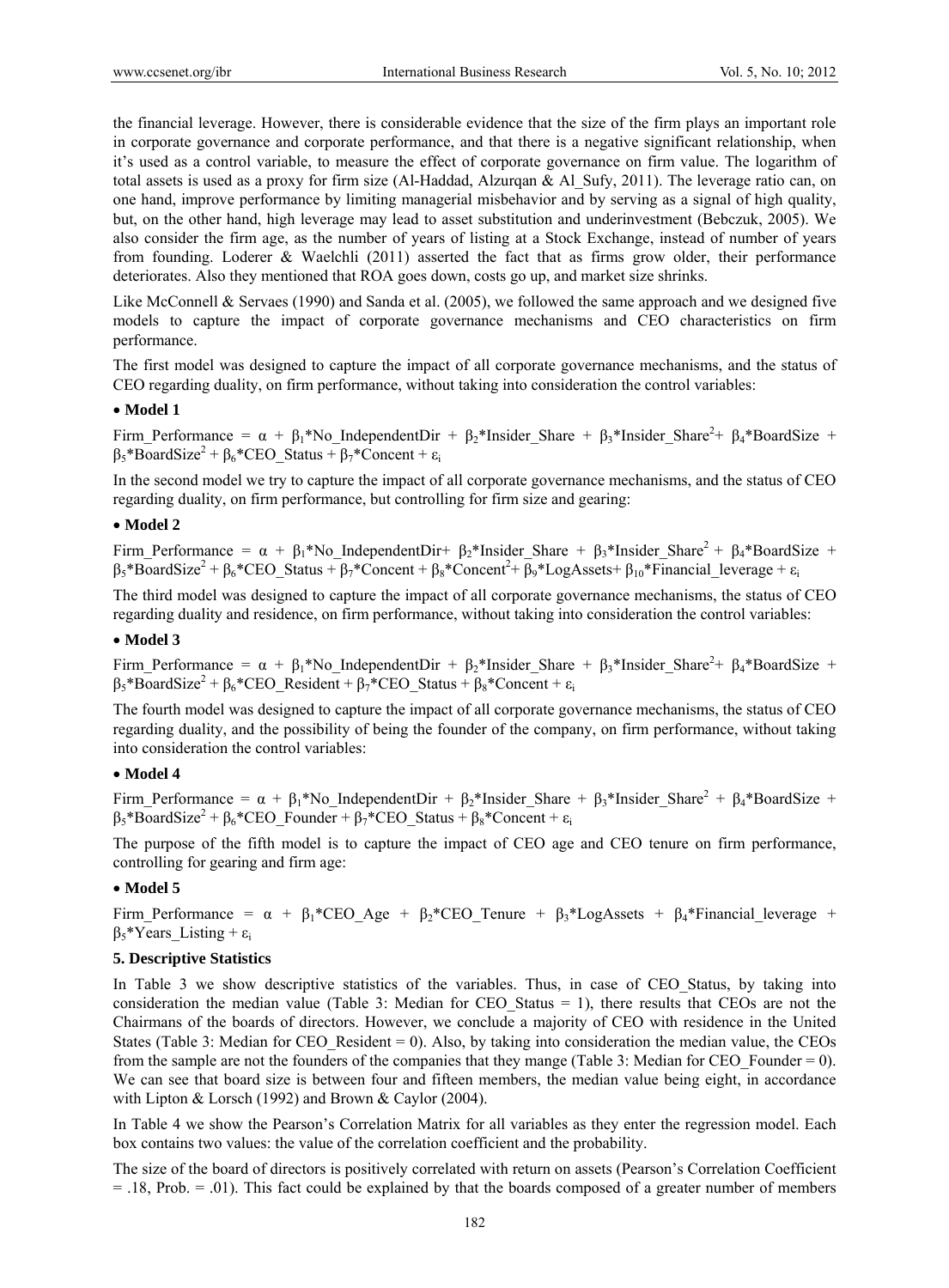the financial leverage. However, there is considerable evidence that the size of the firm plays an important role in corporate governance and corporate performance, and that there is a negative significant relationship, when it's used as a control variable, to measure the effect of corporate governance on firm value. The logarithm of total assets is used as a proxy for firm size (Al-Haddad, Alzurqan & Al Sufy, 2011). The leverage ratio can, on one hand, improve performance by limiting managerial misbehavior and by serving as a signal of high quality, but, on the other hand, high leverage may lead to asset substitution and underinvestment (Bebczuk, 2005). We also consider the firm age, as the number of years of listing at a Stock Exchange, instead of number of years from founding. Loderer & Waelchli (2011) asserted the fact that as firms grow older, their performance deteriorates. Also they mentioned that ROA goes down, costs go up, and market size shrinks.

Like McConnell & Servaes (1990) and Sanda et al. (2005), we followed the same approach and we designed five models to capture the impact of corporate governance mechanisms and CEO characteristics on firm performance.

The first model was designed to capture the impact of all corporate governance mechanisms, and the status of CEO regarding duality, on firm performance, without taking into consideration the control variables:

## **Model 1**

Firm\_Performance =  $\alpha + \beta_1 * \text{No\_IndependentDir} + \beta_2 * \text{Inside\_Share} + \beta_3 * \text{Inside\_Share}^2 + \beta_4 * \text{BoardSize} +$  $\beta_5$ \*BoardSize<sup>2</sup> +  $\beta_6$ \*CEO\_Status +  $\beta_7$ \*Concent +  $\varepsilon_i$ 

In the second model we try to capture the impact of all corporate governance mechanisms, and the status of CEO regarding duality, on firm performance, but controlling for firm size and gearing:

## **Model 2**

Firm Performance =  $\alpha$  + β<sub>1</sub>\*No IndependentDir+ β<sub>2</sub>\*Insider Share + β<sub>3</sub>\*Insider Share<sup>2</sup> + β<sub>4</sub>\*BoardSize +  $\beta_5$ \*BoardSize<sup>2</sup> +  $\beta_6$ \*CEO\_Status +  $\beta_7$ \*Concent +  $\beta_8$ \*Concent<sup>2</sup>+  $\beta_9$ \*LogAssets+  $\beta_{10}$ \*Financial\_leverage +  $\varepsilon_1$ 

The third model was designed to capture the impact of all corporate governance mechanisms, the status of CEO regarding duality and residence, on firm performance, without taking into consideration the control variables:

## **Model 3**

Firm\_Performance =  $\alpha + \beta_1 * \text{No\_IndependentDir} + \beta_2 * \text{Inside\_Share} + \beta_3 * \text{Inside\_Share}^2 + \beta_4 * \text{BoardSize} +$  $\beta_5$ \*BoardSize<sup>2</sup> +  $\beta_6$ \*CEO\_Resident +  $\beta_7$ \*CEO\_Status +  $\beta_8$ \*Concent +  $\varepsilon_1$ 

The fourth model was designed to capture the impact of all corporate governance mechanisms, the status of CEO regarding duality, and the possibility of being the founder of the company, on firm performance, without taking into consideration the control variables:

## **Model 4**

Firm\_Performance =  $\alpha + \beta_1$ \*No\_IndependentDir +  $\beta_2$ \*Insider\_Share +  $\beta_3$ \*Insider\_Share<sup>2</sup> +  $\beta_4$ \*BoardSize +  $β_5*BoardSize^2 + β_6*CEO_Founder + β_7*CEO_Status + β_8*Concent + ε_1$ 

The purpose of the fifth model is to capture the impact of CEO age and CEO tenure on firm performance, controlling for gearing and firm age:

## **Model 5**

Firm\_Performance =  $\alpha$  +  $\beta_1$ \*CEO\_Age +  $\beta_2$ \*CEO Tenure +  $\beta_3$ \*LogAssets +  $\beta_4$ \*Financial leverage +  $β<sub>5</sub> * Years$  Listing + ε<sub>i</sub>

## **5. Descriptive Statistics**

In Table 3 we show descriptive statistics of the variables. Thus, in case of CEO Status, by taking into consideration the median value (Table 3: Median for CEO Status  $= 1$ ), there results that CEOs are not the Chairmans of the boards of directors. However, we conclude a majority of CEO with residence in the United States (Table 3: Median for CEO\_Resident = 0). Also, by taking into consideration the median value, the CEOs from the sample are not the founders of the companies that they mange (Table 3: Median for CEO\_Founder = 0). We can see that board size is between four and fifteen members, the median value being eight, in accordance with Lipton & Lorsch (1992) and Brown & Caylor (2004).

In Table 4 we show the Pearson's Correlation Matrix for all variables as they enter the regression model. Each box contains two values: the value of the correlation coefficient and the probability.

The size of the board of directors is positively correlated with return on assets (Pearson's Correlation Coefficient  $= .18$ , Prob.  $= .01$ ). This fact could be explained by that the boards composed of a greater number of members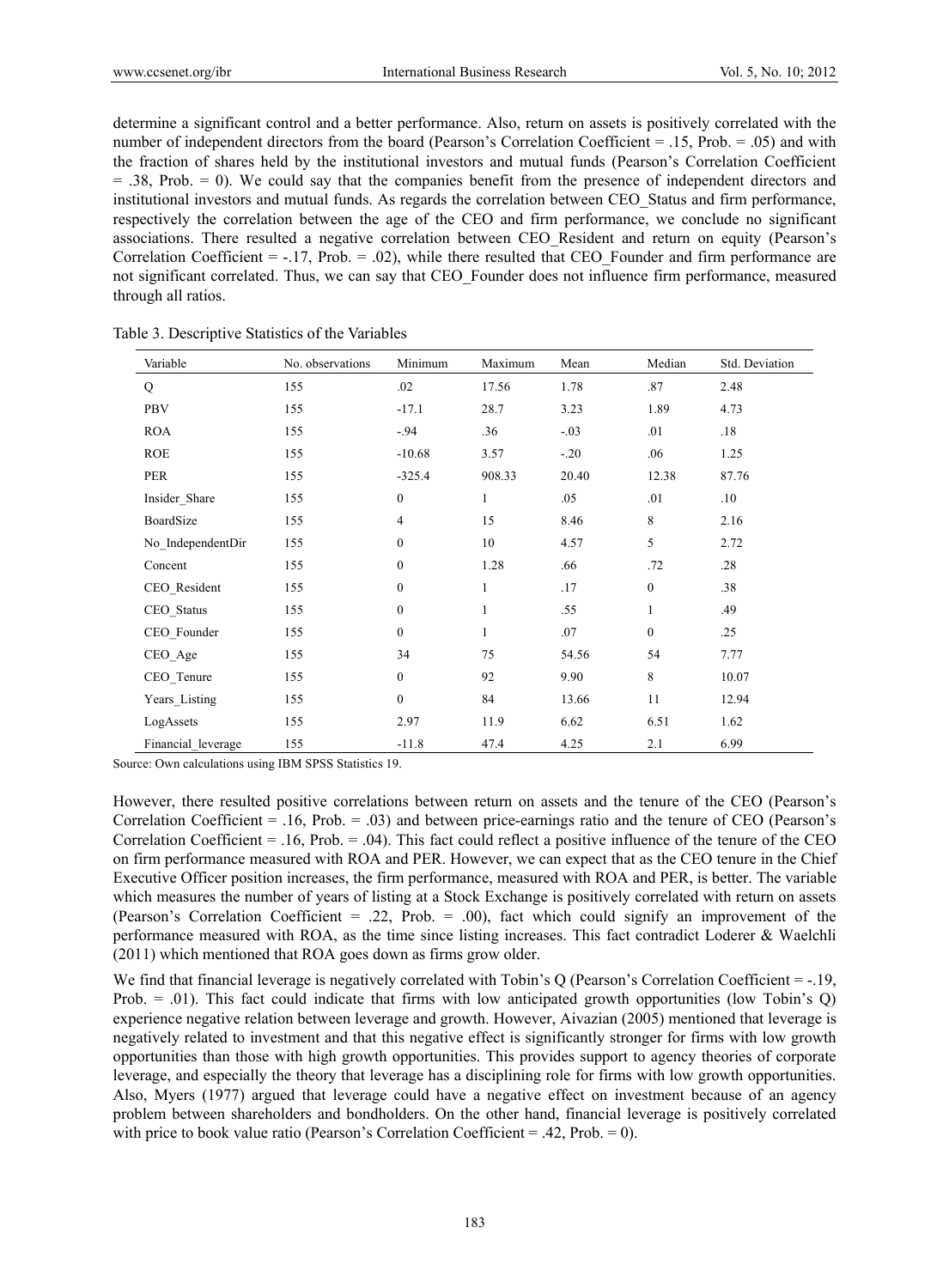determine a significant control and a better performance. Also, return on assets is positively correlated with the number of independent directors from the board (Pearson's Correlation Coefficient = .15, Prob. = .05) and with the fraction of shares held by the institutional investors and mutual funds (Pearson's Correlation Coefficient = .38, Prob. = 0). We could say that the companies benefit from the presence of independent directors and institutional investors and mutual funds. As regards the correlation between CEO\_Status and firm performance, respectively the correlation between the age of the CEO and firm performance, we conclude no significant associations. There resulted a negative correlation between CEO\_Resident and return on equity (Pearson's Correlation Coefficient =  $-17$ , Prob. = .02), while there resulted that CEO Founder and firm performance are not significant correlated. Thus, we can say that CEO\_Founder does not influence firm performance, measured through all ratios.

| Variable           | No. observations | Minimum          | Maximum      | Mean   | Median           | Std. Deviation |
|--------------------|------------------|------------------|--------------|--------|------------------|----------------|
| Q                  | 155              | .02              | 17.56        | 1.78   | .87              | 2.48           |
| PBV                | 155              | $-17.1$          | 28.7         | 3.23   | 1.89             | 4.73           |
| <b>ROA</b>         | 155              | $-.94$           | .36          | $-.03$ | .01              | .18            |
| <b>ROE</b>         | 155              | $-10.68$         | 3.57         | $-20$  | .06              | 1.25           |
| PER                | 155              | $-325.4$         | 908.33       | 20.40  | 12.38            | 87.76          |
| Insider Share      | 155              | $\mathbf{0}$     | $\mathbf{1}$ | .05    | .01              | .10            |
| BoardSize          | 155              | 4                | 15           | 8.46   | 8                | 2.16           |
| No IndependentDir  | 155              | $\mathbf{0}$     | 10           | 4.57   | 5                | 2.72           |
| Concent            | 155              | $\boldsymbol{0}$ | 1.28         | .66    | .72              | .28            |
| CEO Resident       | 155              | $\mathbf{0}$     | 1            | .17    | $\boldsymbol{0}$ | .38            |
| CEO Status         | 155              | $\mathbf{0}$     | $\mathbf{1}$ | .55    | 1                | .49            |
| CEO Founder        | 155              | $\mathbf{0}$     | $\mathbf{1}$ | .07    | $\overline{0}$   | .25            |
| CEO_Age            | 155              | 34               | 75           | 54.56  | 54               | 7.77           |
| CEO Tenure         | 155              | $\mathbf{0}$     | 92           | 9.90   | 8                | 10.07          |
| Years Listing      | 155              | $\mathbf{0}$     | 84           | 13.66  | 11               | 12.94          |
| LogAssets          | 155              | 2.97             | 11.9         | 6.62   | 6.51             | 1.62           |
| Financial leverage | 155              | $-11.8$          | 47.4         | 4.25   | 2.1              | 6.99           |

Table 3. Descriptive Statistics of the Variables

Source: Own calculations using IBM SPSS Statistics 19.

However, there resulted positive correlations between return on assets and the tenure of the CEO (Pearson's Correlation Coefficient = .16, Prob. = .03) and between price-earnings ratio and the tenure of CEO (Pearson's Correlation Coefficient = .16, Prob. = .04). This fact could reflect a positive influence of the tenure of the CEO on firm performance measured with ROA and PER. However, we can expect that as the CEO tenure in the Chief Executive Officer position increases, the firm performance, measured with ROA and PER, is better. The variable which measures the number of years of listing at a Stock Exchange is positively correlated with return on assets (Pearson's Correlation Coefficient = .22, Prob. = .00), fact which could signify an improvement of the performance measured with ROA, as the time since listing increases. This fact contradict Loderer & Waelchli (2011) which mentioned that ROA goes down as firms grow older.

We find that financial leverage is negatively correlated with Tobin's Q (Pearson's Correlation Coefficient = -.19, Prob. = .01). This fact could indicate that firms with low anticipated growth opportunities (low Tobin's Q) experience negative relation between leverage and growth. However, Aivazian (2005) mentioned that leverage is negatively related to investment and that this negative effect is significantly stronger for firms with low growth opportunities than those with high growth opportunities. This provides support to agency theories of corporate leverage, and especially the theory that leverage has a disciplining role for firms with low growth opportunities. Also, Myers (1977) argued that leverage could have a negative effect on investment because of an agency problem between shareholders and bondholders. On the other hand, financial leverage is positively correlated with price to book value ratio (Pearson's Correlation Coefficient  $= .42$ , Prob.  $= 0$ ).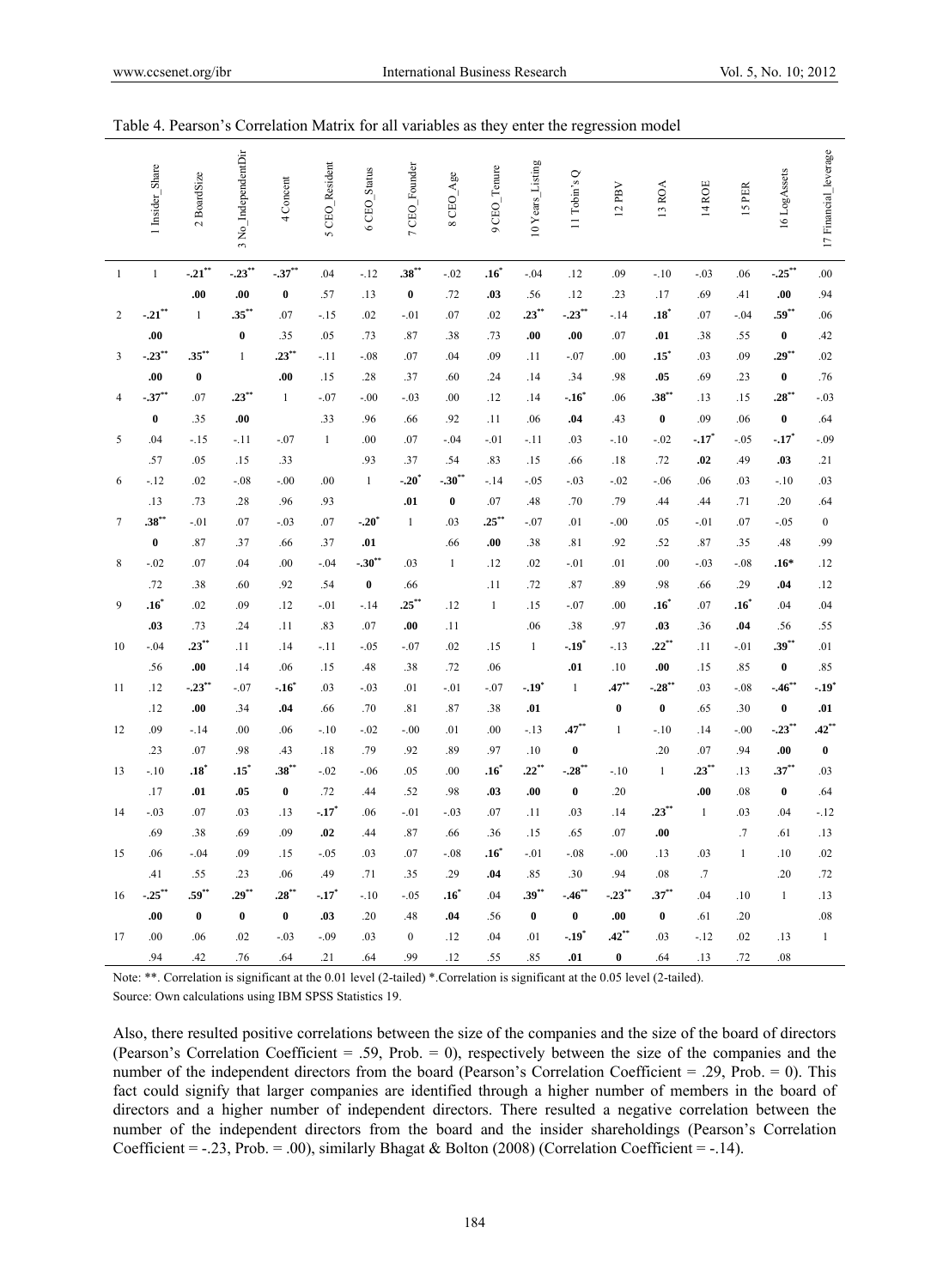|                | 1 Insider Share | 2 BoardSize          | 3 No IndependentDir | 4 Concent        | 5 CEO_Resident | 6 CEO Status   | 7 CEO Founder    | 8 CEO_Age    | 9 CEO_Tenure | 10 Years_Listing | 11 Tobin's Q          | 12 PBV           | 13 ROA               | 14 ROE       | 15 PER       | 16 LogAssets | 17 Financial_leverage |
|----------------|-----------------|----------------------|---------------------|------------------|----------------|----------------|------------------|--------------|--------------|------------------|-----------------------|------------------|----------------------|--------------|--------------|--------------|-----------------------|
| $\mathbf{1}$   | $\,1\,$         | $-21$ **             | $-23$ <sup>**</sup> | $-.37***$        | .04            | $-12$          | $.38***$         | $-.02$       | $.16*$       | $-.04$           | .12                   | .09              | $-.10$               | $-.03$       | .06          | $-25$ **     | .00                   |
|                |                 | .00                  | .00                 | $\pmb{0}$        | .57            | .13            | $\pmb{0}$        | .72          | .03          | .56              | .12                   | .23              | .17                  | .69          | .41          | .00          | .94                   |
| 2              | $-.21***$       | $\mathbf{1}$         | $.35***$            | .07              | $-15$          | .02            | $-.01$           | .07          | .02          | $.23***$         | $-23^{**}$            | $-14$            | $.18^*$              | .07          | $-0.04$      | $.59***$     | .06                   |
|                | .00             |                      | $\boldsymbol{0}$    | .35              | .05            | .73            | .87              | .38          | .73          | .00.             | .00                   | .07              | .01                  | .38          | .55          | $\pmb{0}$    | .42                   |
| 3              | $-.23^{**}$     | $.35***$             | $\mathbf{1}$        | $.23***$         | $-11$          | $-08$          | .07              | .04          | .09          | .11              | $-07$                 | .00              | $.15^*$              | .03          | .09          | $.29***$     | .02                   |
|                | .00             | $\pmb{0}$            |                     | .00              | .15            | .28            | .37              | .60          | .24          | .14              | .34                   | .98              | .05                  | .69          | .23          | $\pmb{0}$    | .76                   |
| $\overline{4}$ | $-.37***$       | .07                  | $.23***$            | $\,1\,$          | $-.07$         | $-00$          | $-.03$           | .00          | .12          | .14              | $-16^\circ$           | .06              | $.38***$             | .13          | .15          | $.28***$     | $-.03$                |
|                | $\pmb{0}$       | .35                  | .00                 |                  | .33            | .96            | .66              | .92          | .11          | .06              | .04                   | .43              | $\pmb{0}$            | .09          | .06          | $\bf{0}$     | .64                   |
| 5              | .04             | $-.15$               | $-11$               | $-.07$           | $\mathbf{1}$   | .00            | .07              | $-0.04$      | $-.01$       | $-.11$           | .03                   | $-.10$           | $-.02$               | $-.17$       | $-0.05$      | $-.17*$      | $-.09$                |
|                | .57             | .05                  | .15                 | .33              |                | .93            | .37              | .54          | .83          | .15              | .66                   | .18              | .72                  | .02          | .49          | .03          | .21                   |
| 6              | $-12$           | .02                  | $-08$               | $-.00$           | .00            | $\mathbf{1}$   | $-.20^{\circ}$   | $-.30**$     | $-14$        | $-0.05$          | $-03$                 | $-02$            | $-.06$               | .06          | .03          | $-.10$       | .03                   |
|                | .13             | .73                  | .28                 | .96              | .93            |                | .01              | $\pmb{0}$    | .07          | .48              | .70                   | .79              | .44                  | .44          | .71          | .20          | .64                   |
| $\overline{7}$ | $.38***$        | $-.01$               | .07                 | $-.03$           | .07            | $-.20^{\circ}$ | $\mathbf{1}$     | .03          | $.25***$     | $-.07$           | .01                   | $-00$            | .05                  | $-.01$       | .07          | $-.05$       | $\boldsymbol{0}$      |
|                | $\bf{0}$        | .87                  | .37                 | .66              | .37            | .01            |                  | .66          | .00          | .38              | .81                   | .92              | .52                  | .87          | .35          | .48          | .99                   |
| 8              | $-.02$          | .07                  | .04                 | .00              | $-.04$         | $-.30$         | .03              | $\mathbf{1}$ | .12          | .02              | $-.01$                | .01              | .00                  | $-.03$       | $-.08$       | $.16*$       | .12                   |
|                | .72             | .38                  | .60                 | .92              | .54            | $\bf{0}$       | .66              |              | .11          | .72              | .87                   | .89              | .98                  | .66          | .29          | .04          | .12                   |
| 9              | $.16*$          | .02                  | .09                 | .12              | $-01$          | $-14$          | $.25***$         | .12          | $\,1$        | .15              | $-07$                 | .00              | $.16^*$              | .07          | $.16*$       | .04          | .04                   |
|                | .03             | .73                  | .24                 | .11              | .83            | .07            | .00              | .11          |              | .06              | .38                   | .97              | .03                  | .36          | .04          | .56          | .55                   |
| 10             | $-.04$          | $.23***$             | .11                 | .14              | $-11$          | $-0.5$         | $-.07$           | .02          | .15          | $\mathbf{1}$     | $-.19^\circ$          | $-13$            | $.22***$             | .11          | $-.01$       | $.39***$     | .01                   |
|                | .56             | .00                  | .14                 | .06              | .15            | .48            | .38              | .72          | .06          |                  | .01                   | .10              | .00                  | .15          | .85          | $\pmb{0}$    | .85                   |
| 11             | .12             | $-.23$ <sup>**</sup> | $-07$               | $-.16"$          | .03            | $-03$          | .01              | $-01$        | $-07$        | $-.19*$          | $\mathbf{1}$          | $.47***$         | $-.28$ <sup>**</sup> | .03          | $-08$        | $-.46^{**}$  | $-.19$                |
|                | .12             | .00                  | .34                 | .04              | .66            | .70            | .81              | .87          | .38          | .01              |                       | $\boldsymbol{0}$ | $\pmb{0}$            | .65          | .30          | $\pmb{0}$    | .01                   |
| 12             | .09             | $-14$                | .00                 | .06              | $-.10$         | $-.02$         | $-.00$           | .01          | .00          | $-13$            | $.47***$              | $\mathbf{1}$     | $-.10$               | .14          | $-.00$       | $-.23***$    | $.42***$              |
|                | .23             | .07                  | .98                 | .43              | .18            | .79            | .92              | .89          | .97          | .10              | $\boldsymbol{0}$      |                  | .20                  | .07          | .94          | .00          | $\pmb{0}$             |
| 13             | $-.10$          | $.18*$               | $.15^*$             | $.38***$         | $-.02$         | $-.06$         | .05              | .00          | $.16*$       | $.22***$         | $-.28^{**}$           | $-.10$           | $\mathbf{1}$         | $.23***$     | .13          | $.37***$     | .03                   |
|                | .17             | .01                  | .05                 | $\boldsymbol{0}$ | .72            | .44            | .52              | .98          | .03          | .00.             | $\boldsymbol{0}$      | .20              |                      | .00          | .08          | $\pmb{0}$    | .64                   |
| 14             | $-.03$          | .07                  | .03                 | .13              | $-.17*$        | .06            | $-.01$           | $-0.03$      | .07          | .11              | .03                   | .14              | $.23***$             | $\mathbf{1}$ | .03          | .04          | $-.12$                |
|                | .69             | .38                  | .69                 | .09              | .02            | .44            | .87              | .66          | .36          | .15              | .65                   | .07              | .00                  |              | $.7\,$       | .61          | .13                   |
| 15             | .06             | $-.04$               | .09                 | .15              | $-.05$         | .03            | .07              | $-08$        | $.16*$       | $-.01$           | $-08$                 | $-00$            | .13                  | .03          | $\mathbf{1}$ | .10          | .02                   |
|                | .41             | .55                  | .23                 | .06              | .49            | .71            | .35              | .29          | .04          | .85              | .30                   | .94              | $.08\,$              | $.7\,$       |              | .20          | .72                   |
| 16             | $-.25***$       | $.59***$             | $.29***$            | $.28***$         | $-.17*$        | $-10$          | $-.05$           | $.16^*$      | .04          | $.39***$         | $-0.46$ <sup>**</sup> | $-.23***$        | $.37***$             | .04          | .10          | $\mathbf{1}$ | .13                   |
|                | .00             | $\pmb{0}$            | $\boldsymbol{0}$    | $\boldsymbol{0}$ | .03            | .20            | .48              | .04          | .56          | $\pmb{0}$        | $\boldsymbol{0}$      | .00              | $\pmb{0}$            | .61          | .20          |              | .08                   |
| 17             | .00             | .06                  | .02                 | $-.03$           | $-0.09$        | .03            | $\boldsymbol{0}$ | .12          | .04          | .01              | $-.19*$               | $.42***$         | .03                  | $-12$        | .02          | .13          | $\mathbf{1}$          |
|                | .94             | .42                  | .76                 | .64              | .21            | .64            | .99              | .12          | .55          | .85              | .01                   | $\bf{0}$         | .64                  | .13          | .72          | .08          |                       |

Note: \*\*. Correlation is significant at the 0.01 level (2-tailed) \*.Correlation is significant at the 0.05 level (2-tailed). Source: Own calculations using IBM SPSS Statistics 19.

Also, there resulted positive correlations between the size of the companies and the size of the board of directors (Pearson's Correlation Coefficient = .59, Prob. = 0), respectively between the size of the companies and the number of the independent directors from the board (Pearson's Correlation Coefficient = .29, Prob. = 0). This fact could signify that larger companies are identified through a higher number of members in the board of directors and a higher number of independent directors. There resulted a negative correlation between the number of the independent directors from the board and the insider shareholdings (Pearson's Correlation Coefficient = -.23, Prob. = .00), similarly Bhagat & Bolton (2008) (Correlation Coefficient = -.14).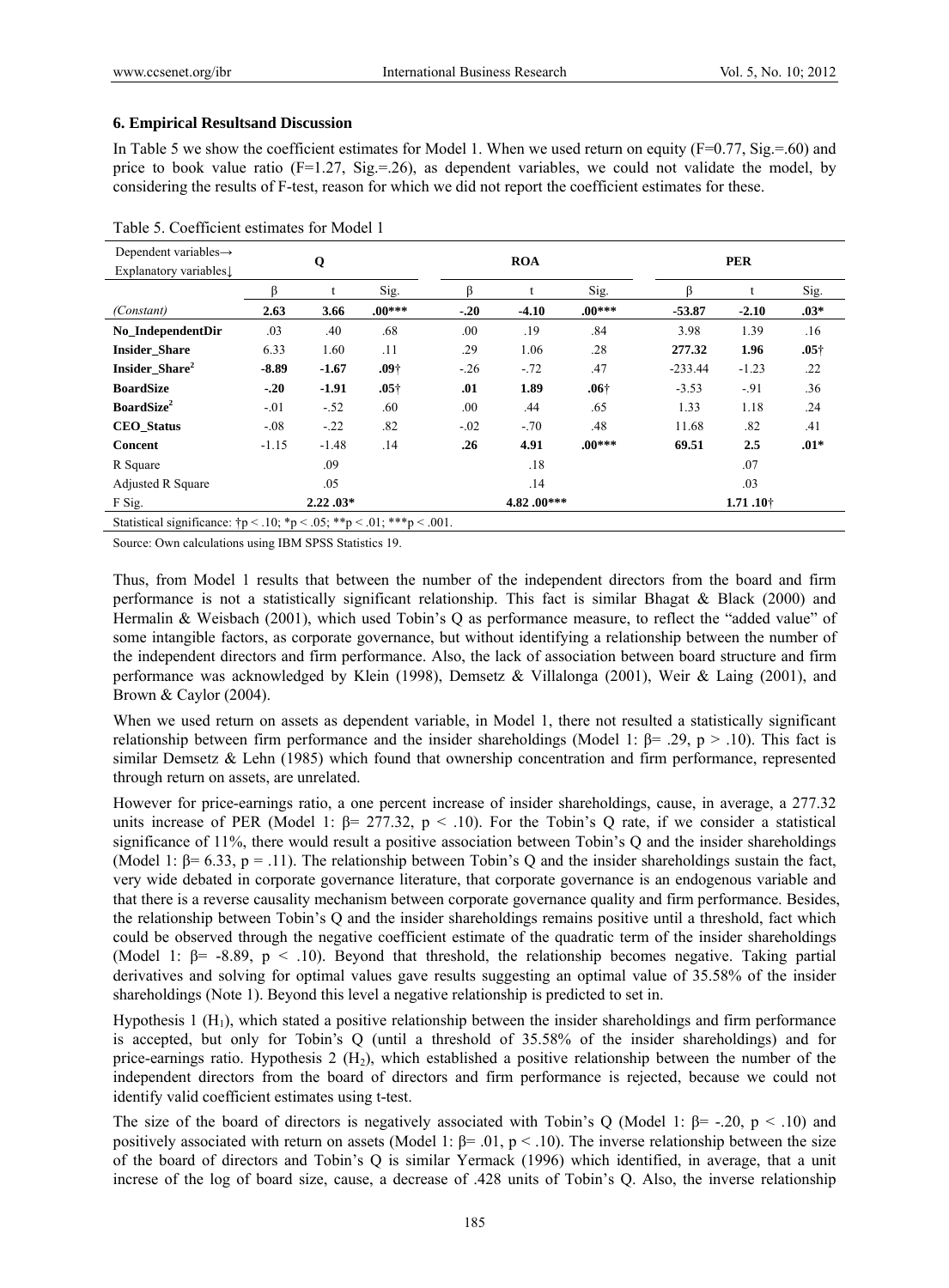## **6. Empirical Resultsand Discussion**

In Table 5 we show the coefficient estimates for Model 1. When we used return on equity  $(F=0.77, Sig=60)$  and price to book value ratio  $(F=1.27, Sig=26)$ , as dependent variables, we could not validate the model, by considering the results of F-test, reason for which we did not report the coefficient estimates for these.

| Dependent variables $\rightarrow$                                                                                                         | Q       |            |                  | <b>ROA</b> |            |          | <b>PER</b> |                  |              |  |
|-------------------------------------------------------------------------------------------------------------------------------------------|---------|------------|------------------|------------|------------|----------|------------|------------------|--------------|--|
| Explanatory variables                                                                                                                     |         |            |                  |            |            |          |            |                  |              |  |
|                                                                                                                                           |         |            | Sig.             | ß          |            | Sig.     |            |                  | Sig.         |  |
| (Constant)                                                                                                                                | 2.63    | 3.66       | $.00***$         | $-.20$     | $-4.10$    | $.00***$ | $-53.87$   | $-2.10$          | $.03*$       |  |
| No_IndependentDir                                                                                                                         | .03     | .40        | .68              | .00        | .19        | .84      | 3.98       | 1.39             | .16          |  |
| <b>Insider Share</b>                                                                                                                      | 6.33    | 1.60       | .11              | .29        | 1.06       | .28      | 277.32     | 1.96             | $.05\dagger$ |  |
| Insider Share <sup>2</sup>                                                                                                                | $-8.89$ | $-1.67$    | .09 <sub>†</sub> | $-26$      | $-0.72$    | .47      | $-233.44$  | $-1.23$          | .22          |  |
| <b>BoardSize</b>                                                                                                                          | $-.20$  | $-1.91$    | $.05\dagger$     | .01        | 1.89       | .06†     | $-3.53$    | $-91$            | .36          |  |
| BoardSize <sup>2</sup>                                                                                                                    | $-.01$  | $-.52$     | .60              | .00        | .44        | .65      | 1.33       | 1.18             | .24          |  |
| <b>CEO</b> Status                                                                                                                         | $-.08$  | $-22$      | .82              | $-.02$     | $-.70$     | .48      | 11.68      | .82              | .41          |  |
| Concent                                                                                                                                   | $-1.15$ | $-1.48$    | .14              | .26        | 4.91       | $.00***$ | 69.51      | 2.5              | $.01*$       |  |
| R Square                                                                                                                                  |         | .09        |                  |            | .18        |          |            | .07              |              |  |
| Adjusted R Square                                                                                                                         |         | .05        |                  |            | .14        |          |            | .03              |              |  |
| F Sig.                                                                                                                                    |         | $2.22.03*$ |                  |            | 4.82.00*** |          |            | $1.71.10\dagger$ |              |  |
| Statistical significance: $\uparrow p < .10$ ; $\uparrow p < .05$ ; $\uparrow \uparrow p < .01$ ; $\uparrow \uparrow \uparrow p < .001$ . |         |            |                  |            |            |          |            |                  |              |  |

Table 5. Coefficient estimates for Model 1

Source: Own calculations using IBM SPSS Statistics 19.

Thus, from Model 1 results that between the number of the independent directors from the board and firm performance is not a statistically significant relationship. This fact is similar Bhagat & Black (2000) and Hermalin & Weisbach (2001), which used Tobin's Q as performance measure, to reflect the "added value" of some intangible factors, as corporate governance, but without identifying a relationship between the number of the independent directors and firm performance. Also, the lack of association between board structure and firm performance was acknowledged by Klein (1998), Demsetz & Villalonga (2001), Weir & Laing (2001), and Brown & Caylor (2004).

When we used return on assets as dependent variable, in Model 1, there not resulted a statistically significant relationship between firm performance and the insider shareholdings (Model 1: β= .29, p > .10). This fact is similar Demsetz & Lehn (1985) which found that ownership concentration and firm performance, represented through return on assets, are unrelated.

However for price-earnings ratio, a one percent increase of insider shareholdings, cause, in average, a 277.32 units increase of PER (Model 1:  $\beta$ = 277.32, p < .10). For the Tobin's Q rate, if we consider a statistical significance of 11%, there would result a positive association between Tobin's Q and the insider shareholdings (Model 1:  $\beta$ = 6.33, p = .11). The relationship between Tobin's Q and the insider shareholdings sustain the fact, very wide debated in corporate governance literature, that corporate governance is an endogenous variable and that there is a reverse causality mechanism between corporate governance quality and firm performance. Besides, the relationship between Tobin's Q and the insider shareholdings remains positive until a threshold, fact which could be observed through the negative coefficient estimate of the quadratic term of the insider shareholdings (Model 1:  $\beta$ = -8.89, p < .10). Beyond that threshold, the relationship becomes negative. Taking partial derivatives and solving for optimal values gave results suggesting an optimal value of 35.58% of the insider shareholdings (Note 1). Beyond this level a negative relationship is predicted to set in.

Hypothesis 1  $(H<sub>1</sub>)$ , which stated a positive relationship between the insider shareholdings and firm performance is accepted, but only for Tobin's Q (until a threshold of 35.58% of the insider shareholdings) and for price-earnings ratio. Hypothesis 2  $(H<sub>2</sub>)$ , which established a positive relationship between the number of the independent directors from the board of directors and firm performance is rejected, because we could not identify valid coefficient estimates using t-test.

The size of the board of directors is negatively associated with Tobin's Q (Model 1:  $\beta$ = -.20, p < .10) and positively associated with return on assets (Model 1: β= .01, p < .10). The inverse relationship between the size of the board of directors and Tobin's Q is similar Yermack (1996) which identified, in average, that a unit increse of the log of board size, cause, a decrease of .428 units of Tobin's Q. Also, the inverse relationship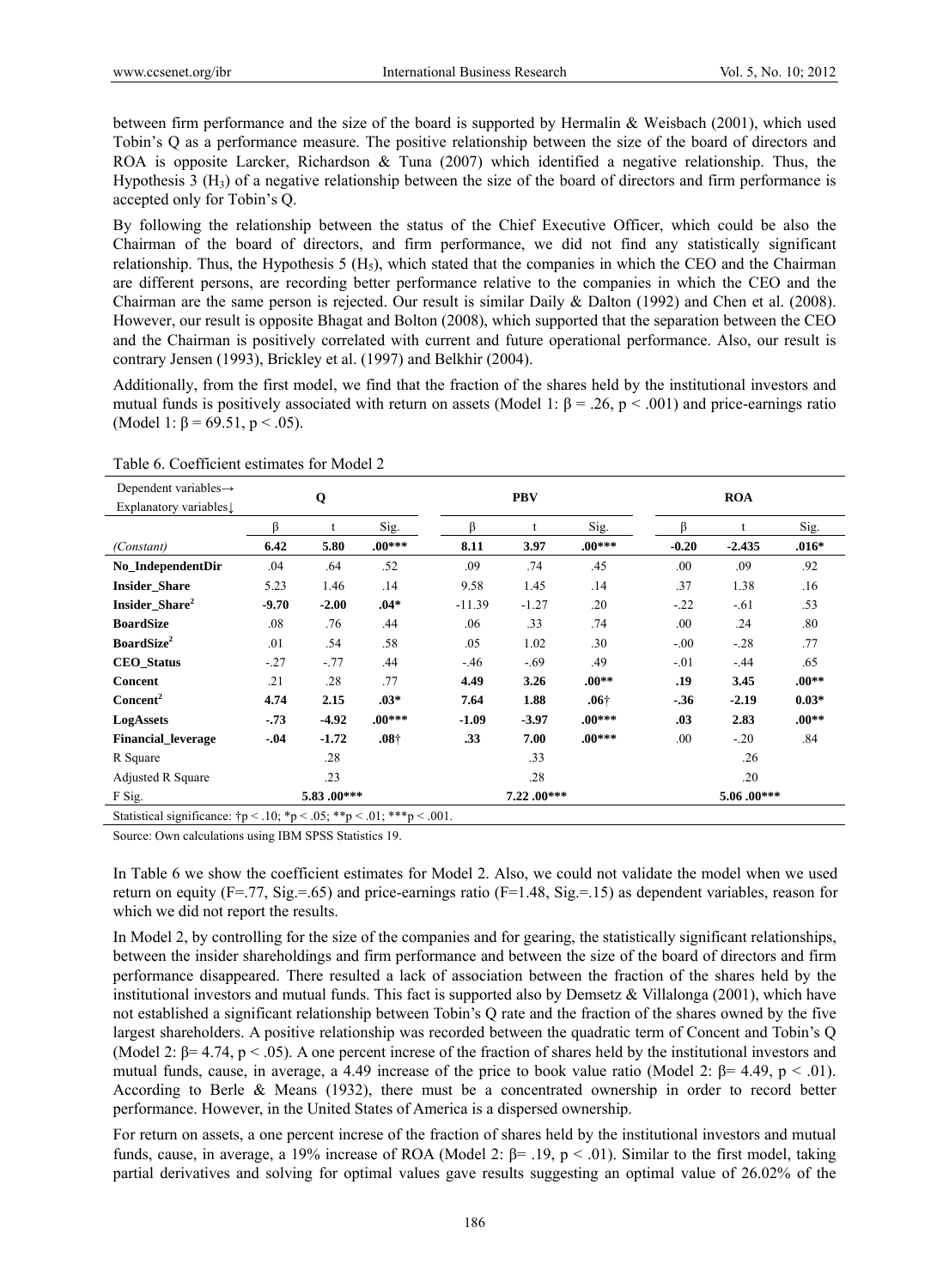between firm performance and the size of the board is supported by Hermalin & Weisbach (2001), which used Tobin's Q as a performance measure. The positive relationship between the size of the board of directors and ROA is opposite Larcker, Richardson & Tuna (2007) which identified a negative relationship. Thus, the Hypothesis 3  $(H<sub>3</sub>)$  of a negative relationship between the size of the board of directors and firm performance is accepted only for Tobin's Q.

By following the relationship between the status of the Chief Executive Officer, which could be also the Chairman of the board of directors, and firm performance, we did not find any statistically significant relationship. Thus, the Hypothesis 5 ( $H_5$ ), which stated that the companies in which the CEO and the Chairman are different persons, are recording better performance relative to the companies in which the CEO and the Chairman are the same person is rejected. Our result is similar Daily & Dalton (1992) and Chen et al. (2008). However, our result is opposite Bhagat and Bolton (2008), which supported that the separation between the CEO and the Chairman is positively correlated with current and future operational performance. Also, our result is contrary Jensen (1993), Brickley et al. (1997) and Belkhir (2004).

Additionally, from the first model, we find that the fraction of the shares held by the institutional investors and mutual funds is positively associated with return on assets (Model 1: β = .26, p < .001) and price-earnings ratio (Model 1:  $\beta$  = 69.51, p < .05).

| Dependent variables $\rightarrow$<br>Explanatory variables |         | Q          |          |          | <b>PBV</b>   |              |         | <b>ROA</b> |         |
|------------------------------------------------------------|---------|------------|----------|----------|--------------|--------------|---------|------------|---------|
|                                                            | ß       |            | Sig.     | ß        | t            | Sig.         | ß       | t          | Sig.    |
| (Constant)                                                 | 6.42    | 5.80       | $.00***$ | 8.11     | 3.97         | $.00***$     | $-0.20$ | $-2.435$   | $.016*$ |
| No_IndependentDir                                          | .04     | .64        | .52      | .09      | .74          | .45          | .00     | .09        | .92     |
| <b>Insider_Share</b>                                       | 5.23    | 1.46       | .14      | 9.58     | 1.45         | .14          | .37     | 1.38       | .16     |
| Insider Share <sup>2</sup>                                 | $-9.70$ | $-2.00$    | $.04*$   | $-11.39$ | $-1.27$      | .20          | $-22$   | $-.61$     | .53     |
| <b>BoardSize</b>                                           | .08     | .76        | .44      | .06      | .33          | .74          | .00.    | .24        | .80     |
| BoardSize <sup>2</sup>                                     | .01     | .54        | .58      | .05      | 1.02         | .30          | $-00$   | $-.28$     | .77     |
| <b>CEO</b> Status                                          | $-27$   | $-.77$     | .44      | $-46$    | $-.69$       | .49          | $-.01$  | $-44$      | .65     |
| Concent                                                    | .21     | .28        | .77      | 4.49     | 3.26         | $.00**$      | .19     | 3.45       | $.00**$ |
| Concent <sup>2</sup>                                       | 4.74    | 2.15       | $.03*$   | 7.64     | 1.88         | $.06\dagger$ | $-36$   | $-2.19$    | $0.03*$ |
| LogAssets                                                  | $-73$   | $-4.92$    | $.00***$ | $-1.09$  | $-3.97$      | $.00***$     | .03     | 2.83       | $.00**$ |
| <b>Financial_leverage</b>                                  | $-.04$  | $-1.72$    | $.08+$   | .33      | 7.00         | $.00***$     | .00.    | $-.20$     | .84     |
| R Square                                                   |         | .28        |          |          | .33          |              |         | .26        |         |
| Adjusted R Square                                          |         | .23        |          |          | .28          |              |         | .20        |         |
| F Sig.                                                     |         | 5.83.00*** |          |          | $7.22.00***$ |              |         | 5.06.00*** |         |

Table 6. Coefficient estimates for Model 2

Statistical significance:  $\uparrow p < .10$ ;  $\uparrow p < .05$ ;  $\uparrow \uparrow p < .01$ ;  $\uparrow \uparrow \uparrow p < .001$ .

Source: Own calculations using IBM SPSS Statistics 19.

In Table 6 we show the coefficient estimates for Model 2. Also, we could not validate the model when we used return on equity (F=.77, Sig.=.65) and price-earnings ratio (F=1.48, Sig.=.15) as dependent variables, reason for which we did not report the results.

In Model 2, by controlling for the size of the companies and for gearing, the statistically significant relationships, between the insider shareholdings and firm performance and between the size of the board of directors and firm performance disappeared. There resulted a lack of association between the fraction of the shares held by the institutional investors and mutual funds. This fact is supported also by Demsetz & Villalonga (2001), which have not established a significant relationship between Tobin's Q rate and the fraction of the shares owned by the five largest shareholders. A positive relationship was recorded between the quadratic term of Concent and Tobin's Q (Model 2:  $\beta$ = 4.74, p < .05). A one percent increse of the fraction of shares held by the institutional investors and mutual funds, cause, in average, a 4.49 increase of the price to book value ratio (Model 2:  $\beta$ = 4.49, p < .01). According to Berle & Means (1932), there must be a concentrated ownership in order to record better performance. However, in the United States of America is a dispersed ownership.

For return on assets, a one percent increse of the fraction of shares held by the institutional investors and mutual funds, cause, in average, a 19% increase of ROA (Model 2:  $\beta$  = .19, p < .01). Similar to the first model, taking partial derivatives and solving for optimal values gave results suggesting an optimal value of 26.02% of the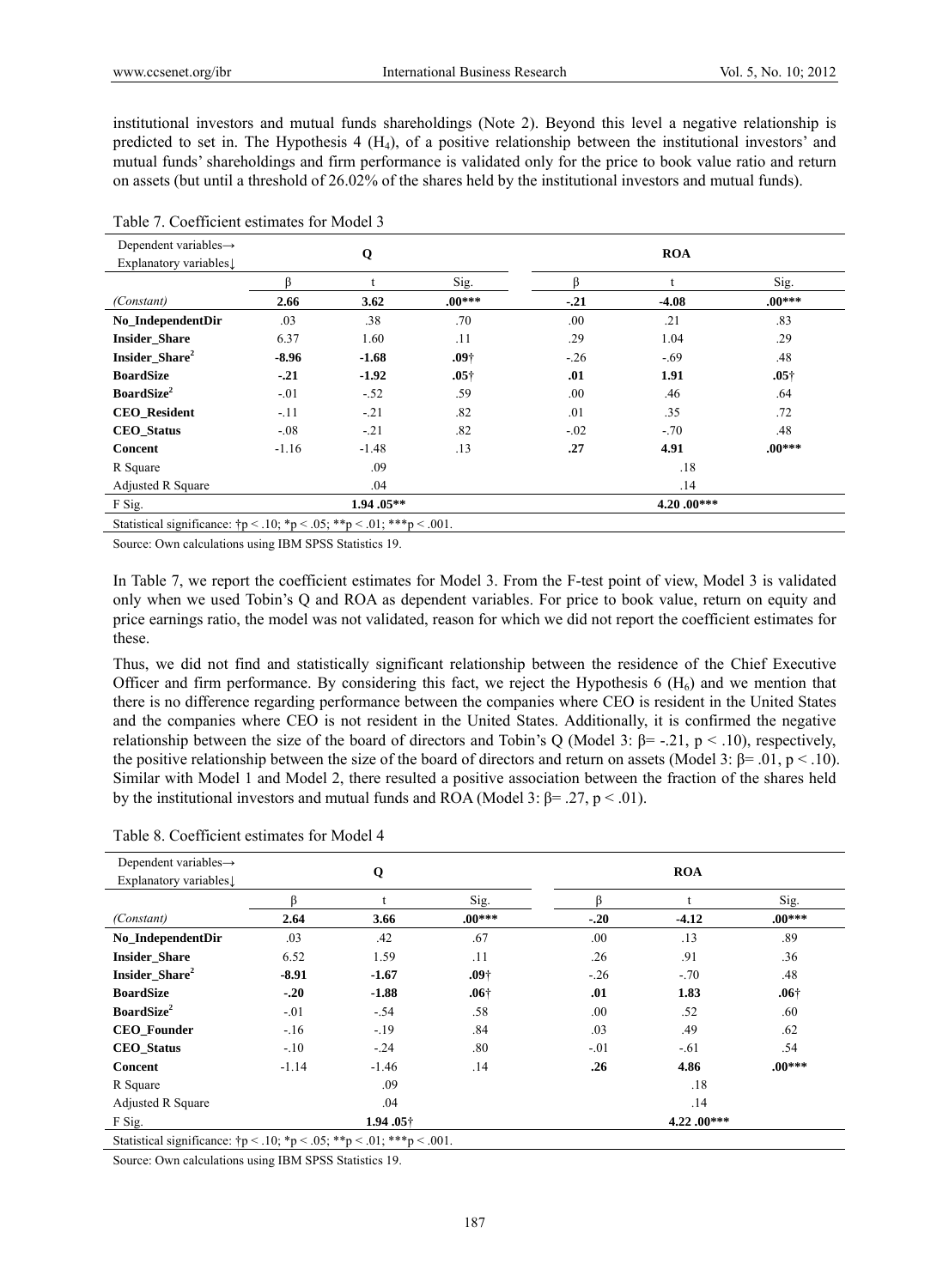institutional investors and mutual funds shareholdings (Note 2). Beyond this level a negative relationship is predicted to set in. The Hypothesis 4  $(H<sub>4</sub>)$ , of a positive relationship between the institutional investors' and mutual funds' shareholdings and firm performance is validated only for the price to book value ratio and return on assets (but until a threshold of 26.02% of the shares held by the institutional investors and mutual funds).

| Dependent variables $\rightarrow$                                                |         |             |                  |        | <b>ROA</b>   |              |
|----------------------------------------------------------------------------------|---------|-------------|------------------|--------|--------------|--------------|
| Explanatory variables.                                                           |         | Q           |                  |        |              |              |
|                                                                                  | ß       |             | Sig.             |        |              | Sig.         |
| (Constant)                                                                       | 2.66    | 3.62        | $.00***$         | $-.21$ | $-4.08$      | $.00***$     |
| No_IndependentDir                                                                | .03     | .38         | .70              | .00    | .21          | .83          |
| <b>Insider Share</b>                                                             | 6.37    | 1.60        | .11              | .29    | 1.04         | .29          |
| Insider Share <sup>2</sup>                                                       | $-8.96$ | $-1.68$     | .09 <sub>†</sub> | $-.26$ | $-.69$       | .48          |
| <b>BoardSize</b>                                                                 | $-.21$  | $-1.92$     | $.05\dagger$     | .01    | 1.91         | $.05\dagger$ |
| BoardSize <sup>2</sup>                                                           | $-.01$  | $-.52$      | .59              | .00.   | .46          | .64          |
| <b>CEO_Resident</b>                                                              | $-.11$  | $-.21$      | .82              | .01    | .35          | .72          |
| <b>CEO</b> Status                                                                | $-.08$  | $-.21$      | .82              | $-.02$ | $-.70$       | .48          |
| Concent                                                                          | $-1.16$ | $-1.48$     | .13              | .27    | 4.91         | $.00***$     |
| R Square                                                                         |         | .09         |                  |        | .18          |              |
| Adjusted R Square                                                                |         | .04         |                  |        | .14          |              |
| F Sig.                                                                           |         | $1.94.05**$ |                  |        | $4.20.00***$ |              |
| Statistical significance: $\uparrow p < .10$ ; *p < .05; **p < .01; ***p < .001. |         |             |                  |        |              |              |

| Table 7. Coefficient estimates for Model 3 |  |  |
|--------------------------------------------|--|--|
|                                            |  |  |

Source: Own calculations using IBM SPSS Statistics 19.

In Table 7, we report the coefficient estimates for Model 3. From the F-test point of view, Model 3 is validated only when we used Tobin's Q and ROA as dependent variables. For price to book value, return on equity and price earnings ratio, the model was not validated, reason for which we did not report the coefficient estimates for these.

Thus, we did not find and statistically significant relationship between the residence of the Chief Executive Officer and firm performance. By considering this fact, we reject the Hypothesis 6  $(H_6)$  and we mention that there is no difference regarding performance between the companies where CEO is resident in the United States and the companies where CEO is not resident in the United States. Additionally, it is confirmed the negative relationship between the size of the board of directors and Tobin's Q (Model 3: β= -.21, p < .10), respectively, the positive relationship between the size of the board of directors and return on assets (Model 3:  $\beta$ = .01, p < .10). Similar with Model 1 and Model 2, there resulted a positive association between the fraction of the shares held by the institutional investors and mutual funds and ROA (Model 3:  $\beta$ = .27, p < .01).

|         | Q        |                  |        | <b>ROA</b> |              |
|---------|----------|------------------|--------|------------|--------------|
| ß       | t        | Sig.             |        |            | Sig.         |
| 2.64    | 3.66     | $.00***$         | $-.20$ | $-4.12$    | $.00***$     |
| .03     | .42      | .67              | .00    | .13        | .89          |
| 6.52    | 1.59     | .11              | .26    | .91        | .36          |
| $-8.91$ | $-1.67$  | .09†             | $-.26$ | $-.70$     | .48          |
| $-.20$  | $-1.88$  | .06 <sup>†</sup> | .01    | 1.83       | $.06\dagger$ |
| $-.01$  | $-.54$   | .58              | .00    | .52        | .60          |
| $-16$   | $-19$    | .84              | .03    | .49        | .62          |
| $-.10$  | $-.24$   | .80              | $-.01$ | $-.61$     | .54          |
| $-1.14$ | $-1.46$  | .14              | .26    | 4.86       | $.00***$     |
|         | .09      |                  |        | .18        |              |
|         | .04      |                  |        | .14        |              |
|         | 1.94.05+ |                  |        | 4.22.00*** |              |
|         |          |                  |        |            |              |

| Table 8. Coefficient estimates for Model 4 |  |  |
|--------------------------------------------|--|--|
|                                            |  |  |

Statistical significance:  $\uparrow p < .10$ ;  $\uparrow p < .05$ ;  $\uparrow \uparrow p < .01$ ;  $\uparrow \uparrow \uparrow p < .001$ 

Source: Own calculations using IBM SPSS Statistics 19.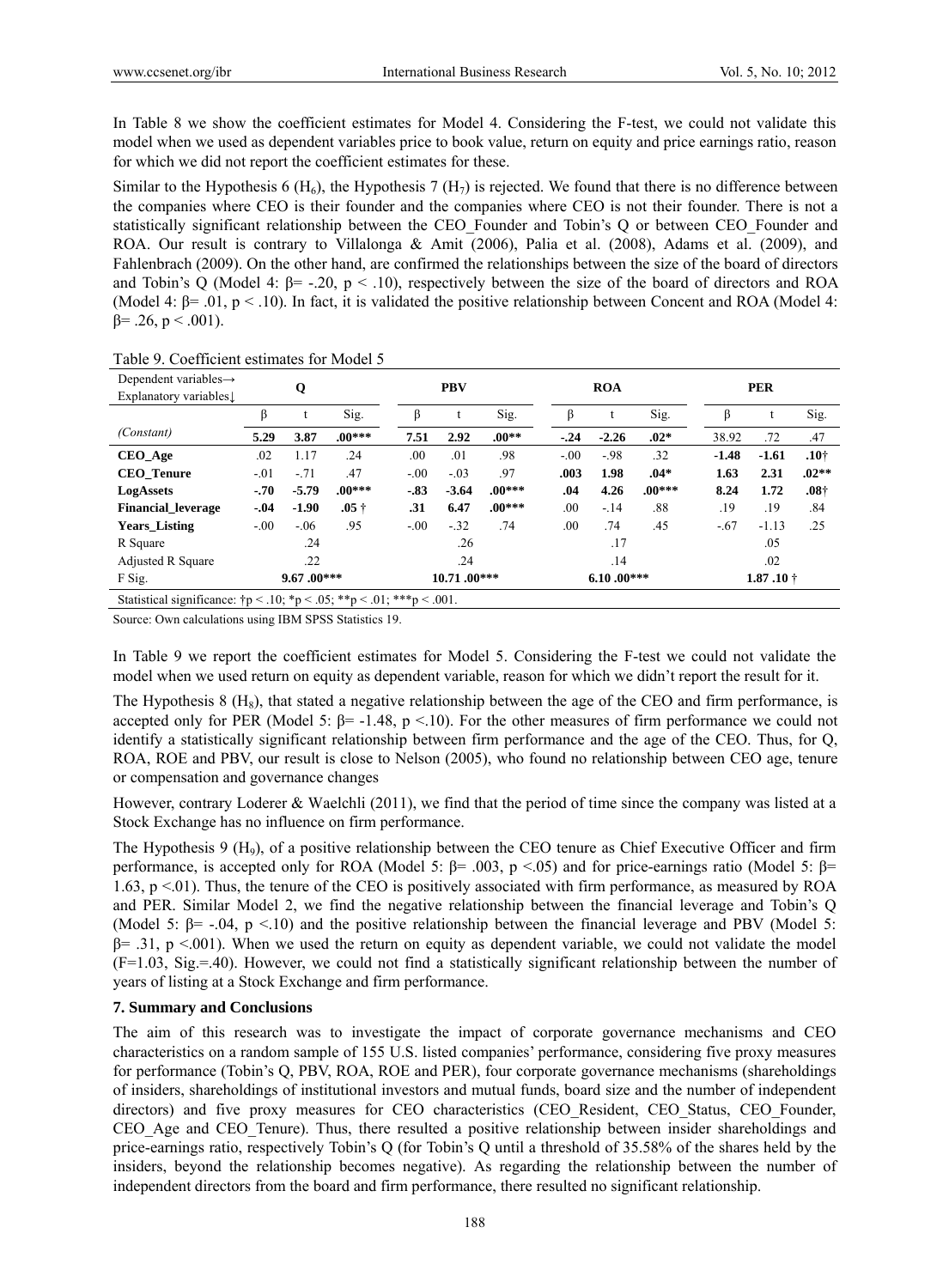In Table 8 we show the coefficient estimates for Model 4. Considering the F-test, we could not validate this model when we used as dependent variables price to book value, return on equity and price earnings ratio, reason for which we did not report the coefficient estimates for these.

Similar to the Hypothesis 6 (H<sub>6</sub>), the Hypothesis 7 (H<sub>7</sub>) is rejected. We found that there is no difference between the companies where CEO is their founder and the companies where CEO is not their founder. There is not a statistically significant relationship between the CEO\_Founder and Tobin's Q or between CEO\_Founder and ROA. Our result is contrary to Villalonga & Amit (2006), Palia et al. (2008), Adams et al. (2009), and Fahlenbrach (2009). On the other hand, are confirmed the relationships between the size of the board of directors and Tobin's Q (Model 4:  $\beta$ = -.20, p < .10), respectively between the size of the board of directors and ROA (Model 4:  $\beta$ = .01, p < .10). In fact, it is validated the positive relationship between Concent and ROA (Model 4:  $\beta$ = .26, p < .001).

| Dependent variables $\rightarrow$ |              |         |          | <b>PBV</b> |             |          | <b>ROA</b> |              |          | <b>PER</b> |            |                  |  |
|-----------------------------------|--------------|---------|----------|------------|-------------|----------|------------|--------------|----------|------------|------------|------------------|--|
| Explanatory variables             | Q            |         |          |            |             |          |            |              |          |            |            |                  |  |
|                                   | β            |         | Sig.     |            |             | Sig.     |            |              | Sig.     |            |            | Sig.             |  |
| (Constant)                        | 5.29         | 3.87    | $.00***$ | 7.51       | 2.92        | $.00**$  | $-24$      | $-2.26$      | $.02*$   | 38.92      | .72        | .47              |  |
| CEO Age                           | .02          | 1.17    | .24      | .00.       | .01         | .98      | $-0.00$    | $-.98$       | .32      | $-1.48$    | $-1.61$    | .10 <sup>†</sup> |  |
| <b>CEO</b> Tenure                 | $-.01$       | $-.71$  | .47      | $-.00$     | $-.03$      | .97      | .003       | 1.98         | $.04*$   | 1.63       | 2.31       | $.02**$          |  |
| LogAssets                         | $-.70$       | $-5.79$ | $.00***$ | $-83$      | $-3.64$     | $.00***$ | .04        | 4.26         | $.00***$ | 8.24       | 1.72       | .08 <sub>†</sub> |  |
| <b>Financial leverage</b>         | $-.04$       | $-1.90$ | $.05 +$  | .31        | 6.47        | $.00***$ | .00.       | $-.14$       | .88      | .19        | .19        | .84              |  |
| <b>Years Listing</b>              | $-0.00$      | $-.06$  | .95      | $-.00$     | $-32$       | .74      | .00.       | .74          | .45      | $-.67$     | $-1.13$    | .25              |  |
| R Square                          | .24          |         |          |            | .26         |          |            | .17          |          |            | .05        |                  |  |
| <b>Adjusted R Square</b>          | .22          |         |          | .24        |             |          | .14        |              |          | .02        |            |                  |  |
| F Sig.                            | $9.67.00***$ |         |          |            | 10.71.00*** |          |            | $6.10.00***$ |          |            | $1.87.10+$ |                  |  |
|                                   |              |         |          |            |             |          |            |              |          |            |            |                  |  |

Table 9. Coefficient estimates for Model 5

Statistical significance:  $\uparrow p < .10$ ; \* $p < .05$ ; \*\* $p < .01$ ;

Source: Own calculations using IBM SPSS Statistics 19.

In Table 9 we report the coefficient estimates for Model 5. Considering the F-test we could not validate the model when we used return on equity as dependent variable, reason for which we didn't report the result for it.

The Hypothesis 8  $(H<sub>8</sub>)$ , that stated a negative relationship between the age of the CEO and firm performance, is accepted only for PER (Model 5: β= -1.48, p <.10). For the other measures of firm performance we could not identify a statistically significant relationship between firm performance and the age of the CEO. Thus, for Q, ROA, ROE and PBV, our result is close to Nelson (2005), who found no relationship between CEO age, tenure or compensation and governance changes

However, contrary Loderer & Waelchli (2011), we find that the period of time since the company was listed at a Stock Exchange has no influence on firm performance.

The Hypothesis 9  $(H<sub>9</sub>)$ , of a positive relationship between the CEO tenure as Chief Executive Officer and firm performance, is accepted only for ROA (Model 5:  $\beta$ = .003, p <.05) and for price-earnings ratio (Model 5:  $\beta$ = 1.63, p <.01). Thus, the tenure of the CEO is positively associated with firm performance, as measured by ROA and PER. Similar Model 2, we find the negative relationship between the financial leverage and Tobin's Q (Model 5:  $\beta$ = -.04, p <.10) and the positive relationship between the financial leverage and PBV (Model 5:  $\beta$ = .31, p <.001). When we used the return on equity as dependent variable, we could not validate the model (F=1.03, Sig.=.40). However, we could not find a statistically significant relationship between the number of years of listing at a Stock Exchange and firm performance.

## **7. Summary and Conclusions**

The aim of this research was to investigate the impact of corporate governance mechanisms and CEO characteristics on a random sample of 155 U.S. listed companies' performance, considering five proxy measures for performance (Tobin's Q, PBV, ROA, ROE and PER), four corporate governance mechanisms (shareholdings of insiders, shareholdings of institutional investors and mutual funds, board size and the number of independent directors) and five proxy measures for CEO characteristics (CEO\_Resident, CEO\_Status, CEO\_Founder, CEO\_Age and CEO\_Tenure). Thus, there resulted a positive relationship between insider shareholdings and price-earnings ratio, respectively Tobin's Q (for Tobin's Q until a threshold of 35.58% of the shares held by the insiders, beyond the relationship becomes negative). As regarding the relationship between the number of independent directors from the board and firm performance, there resulted no significant relationship.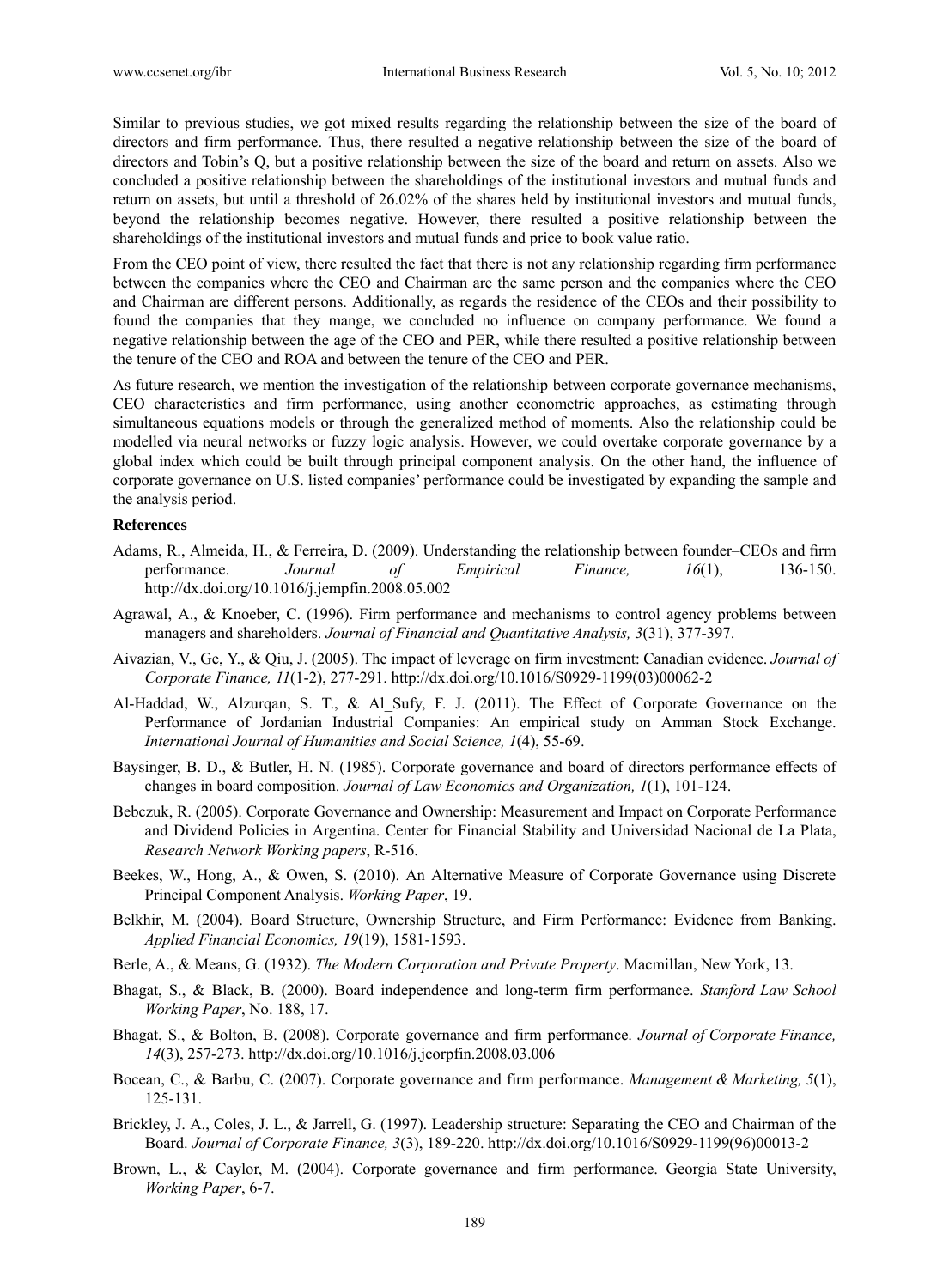Similar to previous studies, we got mixed results regarding the relationship between the size of the board of directors and firm performance. Thus, there resulted a negative relationship between the size of the board of directors and Tobin's Q, but a positive relationship between the size of the board and return on assets. Also we concluded a positive relationship between the shareholdings of the institutional investors and mutual funds and return on assets, but until a threshold of 26.02% of the shares held by institutional investors and mutual funds, beyond the relationship becomes negative. However, there resulted a positive relationship between the shareholdings of the institutional investors and mutual funds and price to book value ratio.

From the CEO point of view, there resulted the fact that there is not any relationship regarding firm performance between the companies where the CEO and Chairman are the same person and the companies where the CEO and Chairman are different persons. Additionally, as regards the residence of the CEOs and their possibility to found the companies that they mange, we concluded no influence on company performance. We found a negative relationship between the age of the CEO and PER, while there resulted a positive relationship between the tenure of the CEO and ROA and between the tenure of the CEO and PER.

As future research, we mention the investigation of the relationship between corporate governance mechanisms, CEO characteristics and firm performance, using another econometric approaches, as estimating through simultaneous equations models or through the generalized method of moments. Also the relationship could be modelled via neural networks or fuzzy logic analysis. However, we could overtake corporate governance by a global index which could be built through principal component analysis. On the other hand, the influence of corporate governance on U.S. listed companies' performance could be investigated by expanding the sample and the analysis period.

#### **References**

- Adams, R., Almeida, H., & Ferreira, D. (2009). Understanding the relationship between founder–CEOs and firm performance. *Journal of Empirical Finance, 16*(1), 136-150. http://dx.doi.org/10.1016/j.jempfin.2008.05.002
- Agrawal, A., & Knoeber, C. (1996). Firm performance and mechanisms to control agency problems between managers and shareholders. *Journal of Financial and Quantitative Analysis, 3*(31), 377-397.
- Aivazian, V., Ge, Y., & Qiu, J. (2005). The impact of leverage on firm investment: Canadian evidence. *Journal of Corporate Finance, 11*(1-2), 277-291. http://dx.doi.org/10.1016/S0929-1199(03)00062-2
- Al-Haddad, W., Alzurqan, S. T., & Al Sufy, F. J. (2011). The Effect of Corporate Governance on the Performance of Jordanian Industrial Companies: An empirical study on Amman Stock Exchange. *International Journal of Humanities and Social Science, 1*(4), 55-69.
- Baysinger, B. D., & Butler, H. N. (1985). Corporate governance and board of directors performance effects of changes in board composition. *Journal of Law Economics and Organization, 1*(1), 101-124.
- Bebczuk, R. (2005). Corporate Governance and Ownership: Measurement and Impact on Corporate Performance and Dividend Policies in Argentina. Center for Financial Stability and Universidad Nacional de La Plata, *Research Network Working papers*, R-516.
- Beekes, W., Hong, A., & Owen, S. (2010). An Alternative Measure of Corporate Governance using Discrete Principal Component Analysis. *Working Paper*, 19.
- Belkhir, M. (2004). Board Structure, Ownership Structure, and Firm Performance: Evidence from Banking. *Applied Financial Economics, 19*(19), 1581-1593.
- Berle, A., & Means, G. (1932). *The Modern Corporation and Private Property*. Macmillan, New York, 13.
- Bhagat, S., & Black, B. (2000). Board independence and long-term firm performance. *Stanford Law School Working Paper*, No. 188, 17.
- Bhagat, S., & Bolton, B. (2008). Corporate governance and firm performance. *Journal of Corporate Finance, 14*(3), 257-273. http://dx.doi.org/10.1016/j.jcorpfin.2008.03.006
- Bocean, C., & Barbu, C. (2007). Corporate governance and firm performance. *Management & Marketing, 5*(1), 125-131.
- Brickley, J. A., Coles, J. L., & Jarrell, G. (1997). Leadership structure: Separating the CEO and Chairman of the Board. *Journal of Corporate Finance, 3*(3), 189-220. http://dx.doi.org/10.1016/S0929-1199(96)00013-2
- Brown, L., & Caylor, M. (2004). Corporate governance and firm performance. Georgia State University, *Working Paper*, 6-7.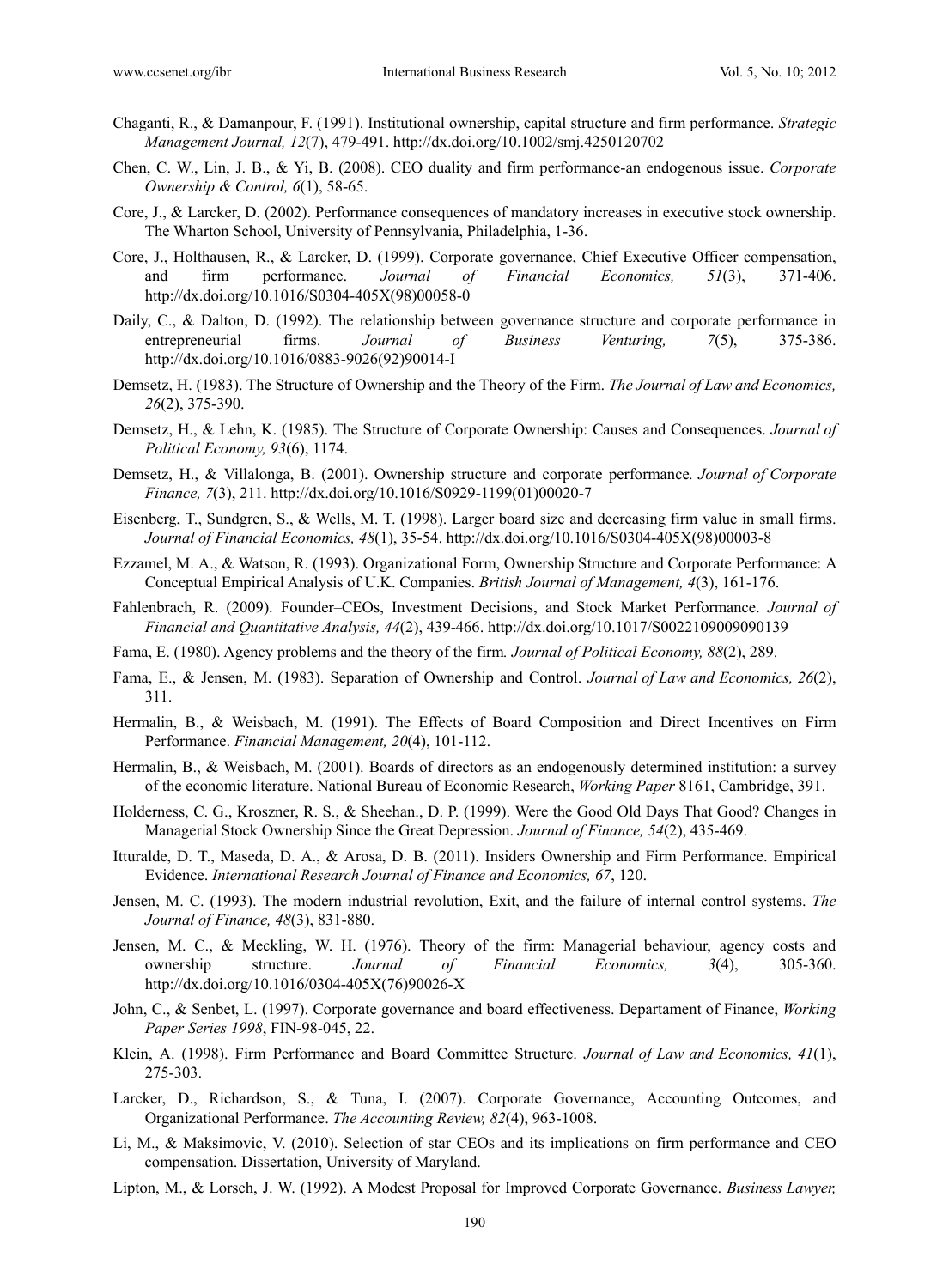- Chaganti, R., & Damanpour, F. (1991). Institutional ownership, capital structure and firm performance. *Strategic Management Journal, 12*(7), 479-491. http://dx.doi.org/10.1002/smj.4250120702
- Chen, C. W., Lin, J. B., & Yi, B. (2008). CEO duality and firm performance-an endogenous issue. *Corporate Ownership & Control, 6*(1), 58-65.
- Core, J., & Larcker, D. (2002). Performance consequences of mandatory increases in executive stock ownership. The Wharton School, University of Pennsylvania, Philadelphia, 1-36.
- Core, J., Holthausen, R., & Larcker, D. (1999). Corporate governance, Chief Executive Officer compensation, and firm performance. *Journal of Financial Economics, 51*(3), 371-406. http://dx.doi.org/10.1016/S0304-405X(98)00058-0
- Daily, C., & Dalton, D. (1992). The relationship between governance structure and corporate performance in entrepreneurial firms. *Journal of Business Venturing, 7*(5), 375-386. http://dx.doi.org/10.1016/0883-9026(92)90014-I
- Demsetz, H. (1983). The Structure of Ownership and the Theory of the Firm. *The Journal of Law and Economics, 26*(2), 375-390.
- Demsetz, H., & Lehn, K. (1985). The Structure of Corporate Ownership: Causes and Consequences. *Journal of Political Economy, 93*(6), 1174.
- Demsetz, H., & Villalonga, B. (2001). Ownership structure and corporate performance*. Journal of Corporate Finance, 7*(3), 211. http://dx.doi.org/10.1016/S0929-1199(01)00020-7
- Eisenberg, T., Sundgren, S., & Wells, M. T. (1998). Larger board size and decreasing firm value in small firms. *Journal of Financial Economics, 48*(1), 35-54. http://dx.doi.org/10.1016/S0304-405X(98)00003-8
- Ezzamel, M. A., & Watson, R. (1993). Organizational Form, Ownership Structure and Corporate Performance: A Conceptual Empirical Analysis of U.K. Companies. *British Journal of Management, 4*(3), 161-176.
- Fahlenbrach, R. (2009). Founder–CEOs, Investment Decisions, and Stock Market Performance. *Journal of Financial and Quantitative Analysis, 44*(2), 439-466. http://dx.doi.org/10.1017/S0022109009090139
- Fama, E. (1980). Agency problems and the theory of the firm*. Journal of Political Economy, 88*(2), 289.
- Fama, E., & Jensen, M. (1983). Separation of Ownership and Control. *Journal of Law and Economics, 26*(2), 311.
- Hermalin, B., & Weisbach, M. (1991). The Effects of Board Composition and Direct Incentives on Firm Performance. *Financial Management, 20*(4), 101-112.
- Hermalin, B., & Weisbach, M. (2001). Boards of directors as an endogenously determined institution: a survey of the economic literature. National Bureau of Economic Research, *Working Paper* 8161, Cambridge, 391.
- Holderness, C. G., Kroszner, R. S., & Sheehan., D. P. (1999). Were the Good Old Days That Good? Changes in Managerial Stock Ownership Since the Great Depression. *Journal of Finance, 54*(2), 435-469.
- Itturalde, D. T., Maseda, D. A., & Arosa, D. B. (2011). Insiders Ownership and Firm Performance. Empirical Evidence. *International Research Journal of Finance and Economics, 67*, 120.
- Jensen, M. C. (1993). The modern industrial revolution, Exit, and the failure of internal control systems. *The Journal of Finance, 48*(3), 831-880.
- Jensen, M. C., & Meckling, W. H. (1976). Theory of the firm: Managerial behaviour, agency costs and ownership structure. *Journal of Financial Economics, 3*(4), 305-360. http://dx.doi.org/10.1016/0304-405X(76)90026-X
- John, C., & Senbet, L. (1997). Corporate governance and board effectiveness. Departament of Finance, *Working Paper Series 1998*, FIN-98-045, 22.
- Klein, A. (1998). Firm Performance and Board Committee Structure. *Journal of Law and Economics, 41*(1), 275-303.
- Larcker, D., Richardson, S., & Tuna, I. (2007). Corporate Governance, Accounting Outcomes, and Organizational Performance. *The Accounting Review, 82*(4), 963-1008.
- Li, M., & Maksimovic, V. (2010). Selection of star CEOs and its implications on firm performance and CEO compensation. Dissertation, University of Maryland.
- Lipton, M., & Lorsch, J. W. (1992). A Modest Proposal for Improved Corporate Governance. *Business Lawyer,*